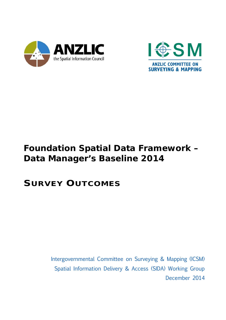



## **Foundation Spatial Data Framework – Data Manager's Baseline 2014**

## **SURVEY OUTCOMES**

Intergovernmental Committee on Surveying & Mapping (ICSM) Spatial Information Delivery & Access (SIDA) Working Group December 2014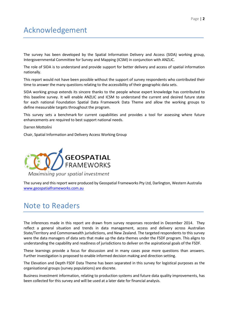The survey has been developed by the Spatial Information Delivery and Access (SIDA) working group, Intergovernmental Committee for Survey and Mapping (ICSM) in conjunction with ANZLIC.

The role of SIDA is to understand and provide support for better delivery and access of spatial information nationally.

This report would not have been possible without the support of survey respondents who contributed their time to answer the many questions relating to the accessibility of their geographic data sets.

SIDA working group extends its sincere thanks to the people whose expert knowledge has contributed to this baseline survey. It will enable ANZLIC and ICSM to understand the current and desired future state for each national Foundation Spatial Data Framework Data Theme and allow the working groups to define measurable targets throughout the program.

This survey sets a benchmark for current capabilities and provides a tool for assessing where future enhancements are required to best support national needs.

Darren Mottolini

Chair, Spatial Information and Delivery Access Working Group



The survey and this report were produced by Geospatial Frameworks Pty Ltd, Darlington, Western Australia [www.geospatialframeworks.com.au](http://www.geospatialframeworks.com.au/)

## Note to Readers

The inferences made in this report are drawn from survey responses recorded in December 2014. They reflect a general situation and trends in data management, access and delivery across Australian State/Territory and Commonwealth jurisdictions, and New Zealand. The targeted respondents to this survey were the data managers of data sets that make up the data themes under the FSDF program. This aligns to understanding the capability and readiness of jurisdictions to deliver on the aspirational goals of the FSDF.

These learnings provide a focus for discussion and in many cases pose more questions than answers. Further investigation is proposed to enable informed decision making and direction setting.

The Elevation and Depth FSDF Data Theme has been separated in this survey for logistical purposes as the organisational groups (survey populations) are discrete.

Business investment information, relating to production systems and future data quality improvements, has been collected for this survey and will be used at a later date for financial analysis.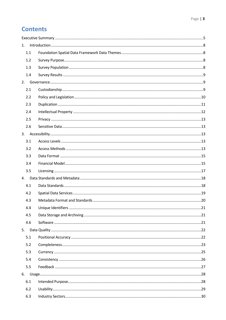## **Contents**

| 1.  |  |
|-----|--|
| 1.1 |  |
| 1.2 |  |
| 1.3 |  |
| 1.4 |  |
| 2.  |  |
| 2.1 |  |
| 2.2 |  |
| 2.3 |  |
| 2.4 |  |
| 2.5 |  |
| 2.6 |  |
| 3.  |  |
| 3.1 |  |
| 3.2 |  |
| 3.3 |  |
| 3.4 |  |
| 3.5 |  |
| 4.  |  |
| 4.1 |  |
| 4.2 |  |
| 4.3 |  |
| 4.4 |  |
| 4.5 |  |
| 4.6 |  |
| 5.  |  |
| 5.1 |  |
| 5.2 |  |
| 5.3 |  |
| 5.4 |  |
| 5.5 |  |
| 6.  |  |
| 6.1 |  |
| 6.2 |  |
| 6.3 |  |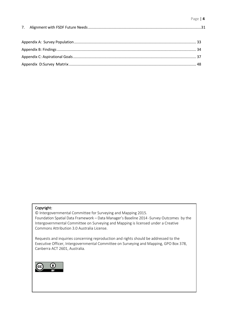## Appendix [C: Aspirational Goals...........................................................................................................................](#page-36-0) 37 Appendix D:Survey Matrix [...............................................................................................................................](#page-47-0) 48

### Copyright:

© Intergovernmental Committee for Surveying and Mapping 2015. Foundation Spatial Data Framework – Data Manager's Baseline 2014 -Survey Outcomes by the Intergovernmental Committee on Surveying and Mapping is licensed under a Creative Commons Attribution 3.0 Australia License.

Requests and inquiries concerning reproduction and rights should be addressed to the Executive Officer, Intergovernmental Committee on Surveying and Mapping, GPO Box 378, Canberra ACT 2601, Australia.

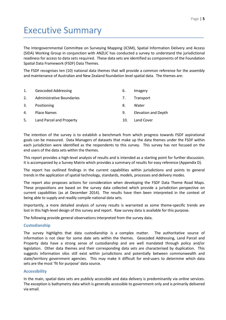# <span id="page-4-0"></span>Executive Summary

The Intergovernmental Committee on Surveying Mapping (ICSM), Spatial Information Delivery and Access (SIDA) Working Group in conjunction with ANZLIC has conducted a survey to understand the jurisdictional readiness for access to data sets required. These data sets are identified as components of the Foundation Spatial Data Framework (FSDF) Data Themes.

The FSDF recognises ten (10) national data themes that will provide a common reference for the assembly and maintenance of Australian and New Zealand foundation level spatial data. The themes are:

| 1. | <b>Geocoded Addressing</b> | 6.  | Imagery                    |
|----|----------------------------|-----|----------------------------|
| 2. | Administrative Boundaries  | 7.  | Transport                  |
| 3. | Positioning                | 8.  | Water                      |
| 4. | <b>Place Names</b>         | 9.  | <b>Elevation and Depth</b> |
| 5. | Land Parcel and Property   | 10. | Land Cover                 |

The intention of the survey is to establish a benchmark from which progress towards FSDF aspirational goals can be measured. Data Managers of datasets that make up the data themes under the FSDF within each jurisdiction were identified as the respondents to this survey. This survey has not focused on the end users of the data sets within the themes.

This report provides a high-level analysis of results and is intended as a starting point for further discussion. It is accompanied by a Survey Matrix which provides a summary of results for easy reference (Appendix D).

The report has outlined findings in the current capabilities within jurisdictions and points to general trends in the application of spatial technology, standards, models, processes and delivery modes.

The report also proposes actions for consideration when developing the FSDF Data Theme Road Maps. These propositions are based on the survey data collected which provide a jurisdiction perspective on current capabilities (as at December 2014). The results have then been interpreted in the context of being able to supply and readily compile national data sets.

Importantly, a more detailed analysis of survey results is warranted as some theme-specific trends are lost in this high-level design of this survey and report. Raw survey data is available for this purpose.

The following provide general observations interpreted from the survey data.

#### **Custodianship**

The survey highlights that data custodianship is a complex matter. The authoritative source of information is not clear for some date sets within the themes. Geocoded Addressing, Land Parcel and Property data have a strong sense of custodianship and are well mandated through policy and/or legislation. Other data themes and their corresponding data sets are characterised by duplication. This suggests information silos still exist within jurisdictions and potentially between commonwealth and state/territory government agencies. This may make it difficult for end-users to determine which data sets are the most 'fit for purpose' data source.

#### **Accessibility**

In the main, spatial data sets are publicly accessible and data delivery is predominantly via online services. The exception is bathymetry data which is generally accessible to government only and is primarily delivered via email.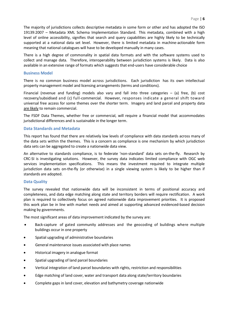The majority of jurisdictions collects descriptive metadata in some form or other and has adopted the ISO 19139:2007 – Metadata XML Schema Implementation Standard. This metadata, combined with a high level of online accessibility, signifies that search and query capabilities are highly likely to be technically supported at a national data set level. However, there is limited metadata in machine-actionable form meaning that national catalogues will have to be developed manually in many cases.

There is a high degree of commonality in spatial data formats and with the software systems used to collect and manage data. Therefore, interoperability between jurisdiction systems is likely. Data is also available in an extensive range of formats which suggests that end-users have considerable choice

#### **Business Model**

There is no common business model across jurisdictions. Each jurisdiction has its own intellectual property management model and licensing arrangements (terms and conditions).

Financial (revenue and funding) models also vary and fall into three categories – (a) free, (b) cost recovery/subsidised and (c) full-commercial. However, responses indicate a general shift toward universal free access for some themes over the shorter term. Imagery and land parcel and property data are likely to remain commercial.

The FSDF Data Themes, whether free or commercial, will require a financial model that accommodates jurisdictional differences and is sustainable in the longer term.

#### **Data Standards and Metadata**

This report has found that there are relatively low levels of compliance with data standards across many of the data sets within the themes. This is a concern as compliance is one mechanism by which jurisdiction data sets can be aggregated to create a nationwide data view.

An alternative to standards compliance, is to federate 'non-standard' data sets on-the-fly. Research by CRC-SI is investigating solutions. However, the survey data indicates limited compliance with OGC web services implementation specifications. This means the investment required to integrate multiple jurisdiction data sets on-the-fly (or otherwise) in a single viewing system is likely to be higher than if standards are adopted.

#### **Data Quality**

The survey revealed that nationwide data will be inconsistent in terms of positional accuracy and completeness, and data edge matching along state and territory borders will require rectification. A work plan is required to collectively focus on agreed nationwide data improvement priorities. It is proposed this work plan be in line with market needs and aimed at supporting advanced evidenced-based decision making by governments.

The most significant areas of data improvement indicated by the survey are:

- Back-capture of gated community addresses and the geocoding of buildings where multiple buildings occur in one property
- Spatial upgrading of administrative boundaries
- General maintenance issues associated with place names
- Historical imagery in analogue format
- Spatial upgrading of land parcel boundaries
- Vertical integration of land parcel boundaries with rights, restriction and responsibilities
- Edge matching of land cover, water and transport data along state/territory boundaries
- Complete gaps in land cover, elevation and bathymetry coverage nationwide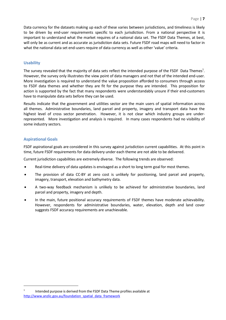Data currency for the datasets making up each of these varies between jurisdictions, and timeliness is likely to be driven by end-user requirements specific to each jurisdiction. From a national perspective it is important to understand what the market requires of a national data set. The FSDF Data Themes, at best, will only be as current and as accurate as jurisdiction data sets. Future FSDF road maps will need to factor in what the national data set end-users require of data currency as well as other 'value' criteria.

#### **Usability**

The survey revealed that the majority of data sets reflect the intended purpose of the FSDF Data Themes<sup>1</sup>. However, the survey only illustrates the view point of data managers and not that of the intended end-user. More investigation is required to understand the value proposition afforded to consumers through access to FSDF data themes and whether they are fit for the purpose they are intended. This proposition for action is supported by the fact that many respondents were understandably unsure if their end-customers have to manipulate data sets before they can be used.

Results indicate that the government and utilities sector are the main users of spatial information across all themes. Administrative boundaries, land parcel and property, imagery and transport data have the highest level of cross sector penetration. However, it is not clear which industry groups are underrepresented. More investigation and analysis is required. In many cases respondents had no visibility of some industry sectors.

#### **Aspirational Goals**

FSDF aspirational goals are considered in this survey against jurisdiction current capabilities. At this point in time, future FSDF requirements for data delivery under each theme are not able to be delivered.

Current jurisdiction capabilities are extremely diverse. The following trends are observed:

- Real-time delivery of data updates is envisaged as a short to long term goal for most themes.
- The provision of data CC-BY at zero cost is unlikely for positioning, land parcel and property, imagery, transport, elevation and bathymetry data.
- A two-way feedback mechanism is unlikely to be achieved for administrative boundaries, land parcel and property, imagery and depth.
- In the main, future positional accuracy requirements of FSDF themes have moderate achievability. However, respondents for administrative boundaries, water, elevation, depth and land cover suggests FSDF accuracy requirements are unachievable.

Intended purpose is derived from the FSDF Data Theme profiles available at [http://www.anzlic.gov.au/foundation\\_spatial\\_data\\_framework](http://www.anzlic.gov.au/foundation_spatial_data_framework)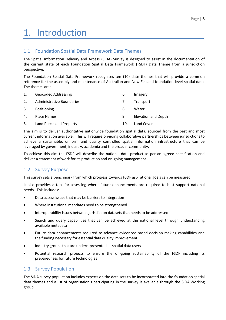# <span id="page-7-0"></span>1. Introduction

## <span id="page-7-1"></span>1.1 Foundation Spatial Data Framework Data Themes

The Spatial Information Delivery and Access (SIDA) Survey is designed to assist in the documentation of the current state of each Foundation Spatial Data Framework (FSDF) Data Theme from a jurisdiction perspective.

The Foundation Spatial Data Framework recognises ten (10) date themes that will provide a common reference for the assembly and maintenance of Australian and New Zealand foundation level spatial data. The themes are:

| 1. | <b>Geocoded Addressing</b> | 6.  | Imagery                    |
|----|----------------------------|-----|----------------------------|
| 2. | Administrative Boundaries  | 7.  | Transport                  |
| 3. | Positioning                | 8.  | Water                      |
| 4. | <b>Place Names</b>         | 9.  | <b>Elevation and Depth</b> |
| 5. | Land Parcel and Property   | 10. | Land Cover                 |

The aim is to deliver authoritative nationwide foundation spatial data, sourced from the best and most current information available. This will require on-going collaborative partnerships between jurisdictions to achieve a sustainable, uniform and quality controlled spatial information infrastructure that can be leveraged by government, industry, academia and the broader community.

To achieve this aim the FSDF will describe the national data product as per an agreed specification and deliver a statement of work for its production and on-going management.

## <span id="page-7-2"></span>1.2 Survey Purpose

This survey sets a benchmark from which progress towards FSDF aspirational goals can be measured.

It also provides a tool for assessing where future enhancements are required to best support national needs. This includes:

- Data access issues that may be barriers to integration
- Where institutional mandates need to be strengthened
- Interoperability issues between jurisdiction datasets that needs to be addressed
- Search and query capabilities that can be achieved at the national level through understanding available metadata
- Future data enhancements required to advance evidenced-based decision making capabilities and the funding necessary for essential data quality improvement
- Industry groups that are underrepresented as spatial data users
- Potential research projects to ensure the on-going sustainability of the FSDF including its preparedness for future technologies

## <span id="page-7-3"></span>1.3 Survey Population

The SIDA survey population includes experts on the data sets to be incorporated into the foundation spatial data themes and a list of organisation's participating in the survey is available through the SIDA Working group.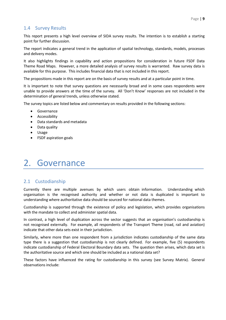## <span id="page-8-0"></span>1.4 Survey Results

This report presents a high level overview of SIDA survey results. The intention is to establish a starting point for further discussion.

The report indicates a general trend in the application of spatial technology, standards, models, processes and delivery modes.

It also highlights findings in capability and action propositions for consideration in future FSDF Data Theme Road Maps. However, a more detailed analysis of survey results is warranted. Raw survey data is available for this purpose. This includes financial data that is not included in this report.

The propositions made in this report are on the basis of survey results and at a particular point in time.

It is important to note that survey questions are necessarily broad and in some cases respondents were unable to provide answers at the time of the survey. All 'Don't Know' responses are not included in the determination of general trends, unless otherwise stated.

The survey topics are listed below and commentary on results provided in the following sections:

- **Governance**
- Accessibility
- Data standards and metadata
- Data quality
- Usage
- FSDF aspiration goals

## <span id="page-8-1"></span>2. Governance

### <span id="page-8-2"></span>2.1 Custodianship

Currently there are multiple avenues by which users obtain information. Understanding which organisation is the recognised authority and whether or not data is duplicated is important to understanding where authoritative data should be sourced for national data themes.

Custodianship is supported through the existence of policy and legislation, which provides organisations with the mandate to collect and administer spatial data.

In contrast, a high level of duplication across the sector suggests that an organisation's custodianship is not recognised externally. For example, all respondents of the Transport Theme (road, rail and aviation) indicate that other data sets exist in their jurisdiction.

Similarly, where more than one respondent from a jurisdiction indicates custodianship of the same data type there is a suggestion that custodianship is not clearly defined. For example, five (5) respondents indicate custodianship of Federal Electoral Boundary data sets. The question then arises, which data set is the authoritative source and which one should be included as a national data set?

These factors have influenced the rating for custodianship in this survey (see Survey Matrix). General observations include: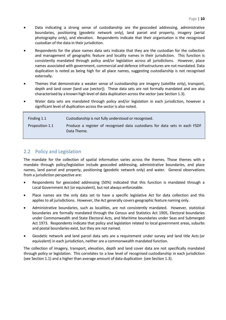- Data indicating a strong sense of custodianship are the geocoded addressing, administrative boundaries, positioning (geodetic network only), land parcel and property, imagery (aerial photography only), and elevation. Respondents indicate that their organisation is the recognised custodian of the data in their jurisdiction.
- Respondents for the place names data sets indicate that they are the custodian for the collection and management of geographic feature and locality names in their jurisdiction. This function is consistently mandated through policy and/or legislation across all jurisdictions. However, place names associated with government, commercial and defence infrastructures are not mandated. Data duplication is noted as being high for all place names, suggesting custodianship is not recognised externally.
- Themes that demonstrate a weaker sense of custodianship are imagery (satellite only), transport, depth and land cover (land use (vector)). These data sets are not formally mandated and are also characterised by a known high level of data duplication across the sector (see Section 1.3).
- Water data sets are mandated through policy and/or legislation in each jurisdiction, however a significant level of duplication across the sector is also noted.

| Finding 1.1     | Custodianship is not fully understood or recognised.                                       |
|-----------------|--------------------------------------------------------------------------------------------|
| Proposition 1.1 | Produce a register of recognised data custodians for data sets in each FSDF<br>Data Theme. |

## <span id="page-9-0"></span>2.2 Policy and Legislation

The mandate for the collection of spatial information varies across the themes. Those themes with a mandate through policy/legislation include geocoded addressing, administrative boundaries, and place names, land parcel and property, positioning (geodetic network only) and water. General observations from a jurisdiction perspective are:

- Respondents for geocoded addressing (50%) indicated that this function is mandated through a Local Government Act (or equivalent), but not always enforceable.
- Place names are the only data set to have a specific legislative Act for data collection and this applies to all jurisdictions. However, the Act generally covers geographic feature naming only.
- Administrative boundaries, such as localities, are not consistently mandated. However, statistical boundaries are formally mandated through the Census and Statistics Act 1905, Electoral boundaries under Commonwealth and State Electoral Acts, and Maritime boundaries under Seas and Submerged Act 1973. Respondents indicate that policy and legislation related to local government areas, suburbs and postal boundaries exist, but they are not named.
- Geodetic network and land parcel data sets are a requirement under survey and land title Acts (or equivalent) in each jurisdiction, neither are a commonwealth mandated function.

The collection of imagery, transport, elevation, depth and land cover data are not specifically mandated through policy or legislation. This correlates to a low level of recognised custodianship in each jurisdiction (see Section 1.1) and a higher than average amount of data duplication (see Section 1.3).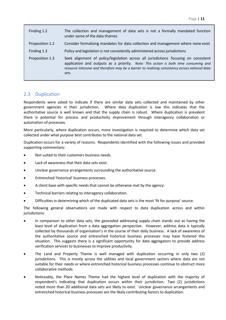| Finding 1.2     | The collection and management of data sets is not a formally mandated function<br>under some of the data themes                                                                                                                                                                         |
|-----------------|-----------------------------------------------------------------------------------------------------------------------------------------------------------------------------------------------------------------------------------------------------------------------------------------|
| Proposition 1.2 | Consider formalising mandates for data collection and management where none exist                                                                                                                                                                                                       |
| Finding 1.3     | Policy and legislation is not consistently administered across jurisdictions                                                                                                                                                                                                            |
| Proposition 1.3 | Seek alignment of policy/legislation across all jurisdictions focusing on consistent<br>application and outputs as a priority. Note: This action is both time consuming and<br>resource intensive and therefore may be a barrier to realising consistency across national data<br>sets. |

### <span id="page-10-0"></span>2.3 Duplication

Respondents were asked to indicate if there are similar data sets collected and maintained by other government agencies in their jurisdiction. Where data duplication is low this indicates that the authoritative source is well known and that the supply chain is robust. Where duplication is prevalent there is potential for process and productivity improvement through interagency collaboration or automation of processes.

More particularly, where duplication occurs, more investigation is required to determine which data set collected under what purpose best contributes to the national data set.

Duplication occurs for a variety of reasons. Respondents identified with the following issues and provided supporting commentary:

- Not suited to their customers business needs.
- Lack of awareness that their data sets exist.
- Unclear governance arrangements surrounding the authoritative source.
- Entrenched 'historical' business processes.
- A client base with specific needs that cannot be otherwise met by the agency.
- Technical barriers relating to interagency collaboration.
- Difficulties in determining which of the duplicated data sets is the most 'fit for purpose' source.

The following general observations are made with respect to data duplication across and within jurisdictions:

- In comparison to other data sets, the geocoded addressing supply chain stands out as having the least level of duplication from a data aggregation perspective. However, address data is typically collected by thousands of organisation's in the course of their daily business. A lack of awareness of the authoritative source and entrenched historical business processes may have fostered this situation. This suggests there is a significant opportunity for data aggregators to provide address verification services to businesses to improve productivity.
- The Land and Property Theme is well managed with duplication occurring in only two (2) jurisdictions. This is mostly across the utilities and local government sectors where data are not suitable for their needs or where entrenched historical business processes continue to obstruct more collaborative methods.
- Noticeably, the Place Names Theme had the highest level of duplication with the majority of respondent's indicating that duplication occurs within their jurisdiction. Two (2) jurisdictions noted more than 20 additional data sets are likely to exist. Unclear governance arrangements and entrenched historical business processes are the likely contributing factors to duplication.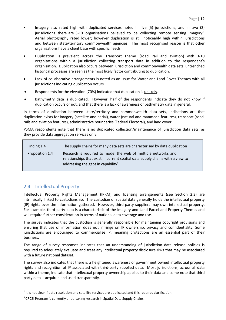- Imagery also rated high with duplicated services noted in five (5) jurisdictions, and in two (2) jurisdictions there are 3-10 organisations believed to be collecting remote sensing imagery<sup>2</sup>. Aerial photography rated lower; however duplication is still noticeably high within jurisdictions and between state/territory commonwealth agencies. The most recognised reason is that other organisations have a client base with specific needs.
- Duplication is prevalent across the Transport Theme (road, rail and aviation) with 3-10 organisations within a jurisdiction collecting transport data in addition to the respondent's organisation. Duplication also occurs between jurisdiction and commonwealth data sets. Entrenched historical processes are seen as the most likely factor contributing to duplication.
- Lack of collaborative arrangements is noted as an issue for Water and Land Cover Themes with all jurisdictions indicating duplication occurs.
- Respondents for the elevation (70%) indicated that duplication is unlikely.
- Bathymetry data is duplicated. However, half of the respondents indicate they do not know if duplication occurs or not, and that there is a lack of awareness of bathymetry data in general.

In terms of duplication between state/territory and commonwealth data sets, indications are that duplication exists for imagery (satellite and aerial), water (natural and manmade features), transport (road, rails and aviation features), administrative boundaries (Federal Electoral), and land cover.

PSMA respondents note that there is no duplicated collection/maintenance of jurisdiction data sets, as they provide data aggregation services only.

| Finding 1.4     | The supply chains for many data sets are characterised by data duplication                                                                                                                        |
|-----------------|---------------------------------------------------------------------------------------------------------------------------------------------------------------------------------------------------|
| Proposition 1.4 | Research is required to model the web of multiple networks and<br>relationships that exist in current spatial data supply chains with a view to<br>addressing the gaps in capability <sup>3</sup> |

### <span id="page-11-0"></span>2.4 Intellectual Property

Intellectual Property Rights Management (IPRM) and licensing arrangements (see Section 2.3) are intrinsically linked to custodianship. The custodian of spatial data generally holds the intellectual property (IP) rights over the information gathered. However, third party suppliers may own intellectual property. For example, third party data is a characteristic of the Imagery and Land Parcel and Property Themes and will require further consideration in terms of national data coverage and use.

The survey indicates that the custodian is generally responsible for maintaining copyright provisions and ensuring that use of information does not infringe on IP ownership, privacy and confidentiality. Some jurisdictions are encouraged to commercialise IP, meaning protections are an essential part of their business.

The range of survey responses indicates that an understanding of jurisdiction data release policies is required to adequately evaluate and treat any intellectual property disclosure risks that may be associated with a future national dataset.

The survey also indicates that there is a heightened awareness of government owned intellectual property rights and recognition of IP associated with third-party supplied data. Most jurisdictions, across all data within a theme, indicate that intellectual property ownership applies to their data and some note that third party data is acquired and used transparently.

 $2$  It is not clear if data resolution and satellite services are duplicated and this requires clarification.

<sup>&</sup>lt;sup>3</sup> CRCSI Program is currently undertaking research in Spatial Data Supply Chains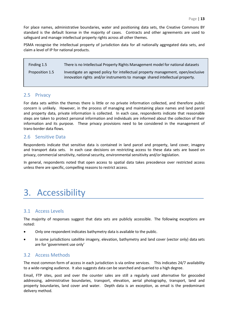For place names, administrative boundaries, water and positioning data sets, the Creative Commons BY standard is the default license in the majority of cases. Contracts and other agreements are used to safeguard and manage intellectual property rights across all other themes.

PSMA recognise the intellectual property of jurisdiction data for all nationally aggregated data sets, and claim a level of IP for national products.

Finding 1.5 There is no Intellectual Property Rights Management model for national datasets Proposition 1.5 Investigate an agreed policy for intellectual property management, open/exclusive innovation rights and/or instruments to manage shared intellectual property.

#### <span id="page-12-0"></span>2.5 Privacy

For data sets within the themes there is little or no private information collected, and therefore public concern is unlikely. However, in the process of managing and maintaining place names and land parcel and property data, private information is collected. In each case, respondents indicate that reasonable steps are taken to protect personal information and individuals are informed about the collection of their information and its purpose. These privacy provisions need to be considered in the management of trans-border data flows.

### <span id="page-12-1"></span>2.6 Sensitive Data

Respondents indicate that sensitive data is contained in land parcel and property, land cover, imagery and transport data sets. In each case decisions on restricting access to these data sets are based on privacy, commercial sensitivity, national security, environmental sensitivity and/or legislation.

In general, respondents noted that open access to spatial data takes precedence over restricted access unless there are specific, compelling reasons to restrict access.

## <span id="page-12-2"></span>3. Accessibility

#### <span id="page-12-3"></span>3.1 Access Levels

The majority of responses suggest that data sets are publicly accessible. The following exceptions are noted:

- Only one respondent indicates bathymetry data is available to the public.
- In some jurisdictions satellite imagery, elevation, bathymetry and land cover (vector only) data sets are for 'government use only'

#### <span id="page-12-4"></span>3.2 Access Methods

The most common form of access in each jurisdiction is via online services. This indicates 24/7 availability to a wide-ranging audience. It also suggests data can be searched and queried to a high degree.

Email, FTP sites, post and over the counter sales are still a regularly used alternative for geocoded addressing, administrative boundaries, transport, elevation, aerial photography, transport, land and property boundaries, land cover and water. Depth data is an exception, as email is the predominant delivery method.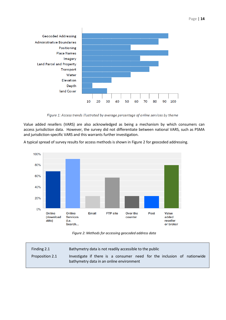

Figure 1: Access trends illustrated by average percentage of online services by theme

Value added resellers (VARS) are also acknowledged as being a mechanism by which consumers can access jurisdiction data. However, the survey did not differentiate between national VARS, such as PSMA and jurisdiction-specific VARS and this warrants further investigation.

A typical spread of survey results for access methods is shown in Figure 2 for geocoded addressing.





| Finding 2.1     | Bathymetry data is not readily accessible to the public                                                             |
|-----------------|---------------------------------------------------------------------------------------------------------------------|
| Proposition 2.1 | Investigate if there is a consumer need for the inclusion of nationwide<br>bathymetry data in an online environment |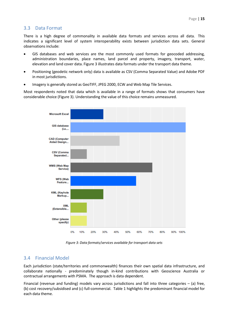## <span id="page-14-0"></span>3.3 Data Format

There is a high degree of commonality in available data formats and services across all data. This indicates a significant level of system interoperability exists between jurisdiction data sets. General observations include:

- GIS databases and web services are the most commonly used formats for geocoded addressing, administration boundaries, place names, land parcel and property, imagery, transport, water, elevation and land cover data. Figure 3 illustrates data formats under the transport data theme.
- Positioning (geodetic network only) data is available as CSV (Comma Separated Value) and Adobe PDF in most jurisdictions.
- Imagery is generally stored as GeoTIFF, JPEG 2000, ECW and Web Map Tile Services.

Most respondents noted that data which is available in a range of formats shows that consumers have considerable choice (Figure 3). Understanding the value of this choice remains unmeasured.



*Figure 3: Data formats/services available for transport data sets*

## <span id="page-14-1"></span>3.4 Financial Model

Each jurisdiction (state/territories and commonwealth) finances their own spatial data infrastructure, and collaborate nationally - predominately though in-kind contributions with Geoscience Australia or contractual arrangements with PSMA. The approach is data dependent.

Financial (revenue and funding) models vary across jurisdictions and fall into three categories – (a) free, (b) cost recovery/subsidised and (c) full-commercial. Table 1 highlights the predominant financial model for each data theme.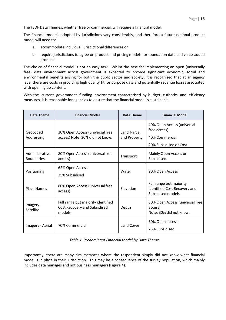The FSDF Data Themes, whether free or commercial, will require a financial model.

The financial models adopted by jurisdictions vary considerably, and therefore a future national product model will need to:

- a. accommodate individual jurisdictional differences or
- b. require jurisdictions to agree on product and pricing models for foundation data and value-added products.

The choice of financial model is not an easy task. Whilst the case for implementing an open (universally free) data environment across government is expected to provide significant economic, social and environmental benefits arising for both the public sector and society; it is recognised that at an agency level there are costs in providing high quality fit for purpose data and potentially revenue losses associated with opening up content.

With the current government funding environment characterised by budget cutbacks and efficiency measures, it is reasonable for agencies to ensure that the financial model is sustainable.

| Data Theme                          | <b>Financial Model</b>                                                       | Data Theme                  | <b>Financial Model</b>                                                                 |
|-------------------------------------|------------------------------------------------------------------------------|-----------------------------|----------------------------------------------------------------------------------------|
| Geocoded<br>Addressing              | 30% Open Access (universal free<br>access) Note: 30% did not know.           | Land Parcel<br>and Property | 40% Open Access (universal<br>free access)<br>40% Commercial<br>20% Subsidised or Cost |
| Administrative<br><b>Boundaries</b> | 80% Open Access (universal free<br>access)                                   | Transport                   | Mainly Open Access or<br>Subsidised                                                    |
| Positioning                         | 62% Open Access<br>25% Subsidised                                            | Water                       | 90% Open Access                                                                        |
| <b>Place Names</b>                  | 80% Open Access (universal free<br>access)                                   | Elevation                   | Full range but majority<br>identified Cost Recovery and<br>Subsidised models           |
| Imagery -<br>Satellite              | Full range but majority identified<br>Cost Recovery and Subsidised<br>models | Depth                       | 30% Open Access (universal free<br>access)<br>Note: 30% did not know.                  |
| Imagery - Aerial                    | 70% Commercial                                                               | Land Cover                  | 60% Open access<br>25% Subsidised.                                                     |

*Table 1. Predominant Financial Model by Data Theme*

Importantly, there are many circumstances where the respondent simply did not know what financial model is in place in their jurisdiction. This may be a consequence of the survey population, which mainly includes data manages and not business managers (Figure 4).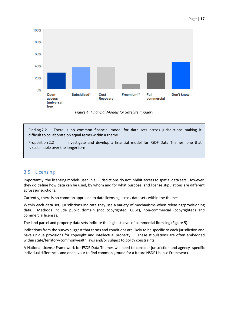

*Figure 4: Financial Models for Satellite Imagery*

Finding 2.2 There is no common financial model for data sets across jurisdictions making it difficult to collaborate on equal terms within a theme

Proposition 2.2 Investigate and develop a financial model for FSDF Data Themes, one that is sustainable over the longer term

### <span id="page-16-0"></span>3.5 Licensing

Importantly, the licensing models used in all jurisdictions do not inhibit access to spatial data sets. However, they do define how data can be used, by whom and for what purpose, and license stipulations are different across jurisdictions.

Currently, there is no common approach to data licensing across data sets within the themes.

Within each data set, jurisdictions indicate they use a variety of mechanisms when releasing/provisioning data. Methods include public domain (not copyrighted, CCBY), non-commercial (copyrighted) and commercial licenses.

The land parcel and property data sets indicate the highest level of commercial licensing (Figure 5).

Indications from the survey suggest that terms and conditions are likely to be specific to each jurisdiction and have unique provisions for copyright and intellectual property. These stipulations are often embedded within state/territory/commonwealth laws and/or subject to policy constraints.

A National License Framework for FSDF Data Themes will need to consider jurisdiction and agency- specific individual differences and endeavour to find common ground for a future NSDF License Framework.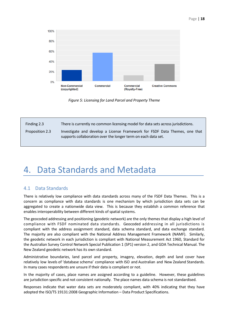#### Page | **18**



*Figure 5: Licensing for Land Parcel and Property Theme*

| Finding 2.3     | There is currently no common licensing model for data sets across jurisdictions.                                                            |
|-----------------|---------------------------------------------------------------------------------------------------------------------------------------------|
| Proposition 2.3 | Investigate and develop a License Framework for FSDF Data Themes, one that<br>supports collaboration over the longer term on each data set. |

## <span id="page-17-0"></span>4. Data Standards and Metadata

#### <span id="page-17-1"></span>4.1 Data Standards

There is relatively low compliance with data standards across many of the FSDF Data Themes. This is a concern as compliance with data standards is one mechanism by which jurisdiction data sets can be aggregated to create a nationwide data view. This is because they establish a common reference that enables interoperability between different kinds of spatial systems.

The geocoded addressing and positioning (geodetic network) are the only themes that display a high level of compliance with FSDF nominated data standards. Geocoded addressing in all jurisdictions is compliant with the address assignment standard, data schema standard, and data exchange standard. The majority are also compliant with the National Address Management Framework (NAMF). Similarly, the geodetic network in each jurisdiction is compliant with National Measurement Act 1960, Standard for the Australian Survey Control Network Special Publication 1 (SP1) version 2, and GDA Technical Manual. The New Zealand geodetic network has its own standard.

Administrative boundaries, land parcel and property, imagery, elevation, depth and land cover have relatively low levels of 'database schema' compliance with ISO and Australian and New Zealand Standards. In many cases respondents are unsure if their data is compliant or not.

In the majority of cases, place names are assigned according to a guideline. However, these guidelines are jurisdiction specific and not consistent nationally. The place names data schema is not standardised.

Responses indicate that water data sets are moderately compliant, with 40% indicating that they have adopted the ISO/TS 19131:2008 Geographic Information – Data Product Specifications.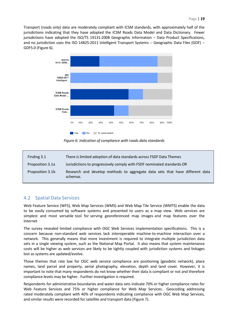Transport (roads only) data are moderately compliant with ICSM standards, with approximately half of the jurisdictions indicating that they have adopted the ICSM Roads Data Model and Data Dictionary. Fewer jurisdictions have adopted the ISO/TS 19131:2008 Geographic Information – Data Product Specifications, and no jurisdiction uses the ISO 14825:2011 Intelligent Transport Systems -- Geographic Data Files (GDF) -- GDF5.0 (Figure 6).



*Figure 6: Indication of compliance with roads data standards*

| Finding 3.1      | There is limited adoption of data standards across FSDF Data Themes                      |
|------------------|------------------------------------------------------------------------------------------|
| Proposition 3.1a | Jurisdictions to progressively comply with FSDF nominated standards OR                   |
| Proposition 3.1b | Research and develop methods to aggregate data sets that have different data<br>schemas. |

### <span id="page-18-0"></span>4.2 Spatial Data Services

Web Feature Service (WFS), Web Map Services (WMS) and Web Map Tile Service (WMTS) enable the data to be easily consumed by software systems and presented to users as a map view. Web services are simplest and most versatile tool for serving georeferenced map images and map features over the Internet

The survey revealed limited compliance with OGC Web Services implementation specifications. This is a concern because non-standard web services lack interoperable machine-to-machine interaction over a network. This generally means that more investment is required to integrate multiple jurisdiction data sets in a single viewing system, such as the National Map Portal. It also means that system maintenance costs will be higher as web services are likely to be tightly coupled with jurisdiction systems and linkages lost as systems are updated/evolve.

Those themes that rate low for OGC web service compliance are positioning (geodetic network), place names, land parcel and property, aerial photography, elevation, depth and land cover. However, it is important to note that many respondents do not know whether their data is compliant or not and therefore compliance levels may be higher. Further investigation is required.

Respondents for administrative boundaries and water data sets indicate 70% or higher compliance rates for Web Feature Services and 75% or higher compliance for Web Map Services. Geocoding addressing rated moderately compliant with 40% of respondents indicating compliance with OGC Web Map Services, and similar results were recorded for satellite and transport data (Figure 7).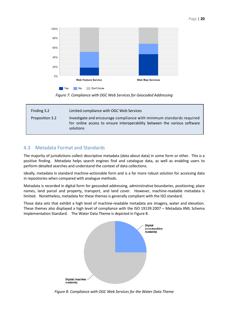

*Figure 7: Compliance with OGC Web Services for Geocoded Addressing*

| Finding 3.2     | Limited compliance with OGC Web Services                                                                                                                       |
|-----------------|----------------------------------------------------------------------------------------------------------------------------------------------------------------|
| Proposition 3.2 | Investigate and encourage compliance with minimum standards required<br>for online access to ensure interoperability between the various software<br>solutions |

## <span id="page-19-0"></span>4.3 Metadata Format and Standards

The majority of jurisdictions collect descriptive metadata (data about data) in some form or other. This is a positive finding. Metadata helps search engines find and catalogue data, as well as enabling users to perform detailed searches and understand the context of data collections.

Ideally, metadata in standard machine-actionable form and is a far more robust solution for accessing data in repositories when compared with analogue methods.

Metadata is recorded in digital form for geocoded addressing, administrative boundaries, positioning, place names, land parcel and property, transport, and land cover. However, machine-readable metadata is limited. Nonetheless, metadata for these themes is generally compliant with the ISO standard.

Those data sets that exhibit a high level of machine-readable metadata are imagery, water and elevation. These themes also displayed a high level of compliance with the ISO 19139:2007 – Metadata XML Schema Implementation Standard. The Water Data Theme is depicted in Figure 8.



*Figure 8: Compliance with OGC Web Services for the Water Data Theme*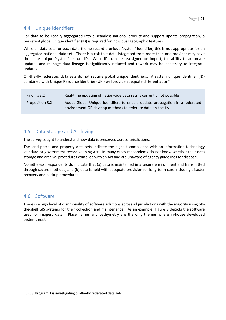## <span id="page-20-0"></span>4.4 Unique Identifiers

For data to be readily aggregated into a seamless national product and support update propagation, a persistent global unique identifier (ID) is required for individual geographic features.

While all data sets for each data theme record a unique 'system' identifier, this is not appropriate for an aggregated national data set. There is a risk that data integrated from more than one provider may have the same unique 'system' feature ID. While IDs can be reassigned on import, the ability to automate updates and manage data lineage is significantly reduced and rework may be necessary to integrate updates.

On-the-fly federated data sets do not require global unique identifiers. A system unique identifier (ID) combined with Unique Resource Identifier (URI) will provide adequate differentiation $^4$ .

| Finding 3.2     | Real-time updating of nationwide data sets is currently not possible                                                                       |
|-----------------|--------------------------------------------------------------------------------------------------------------------------------------------|
| Proposition 3.2 | Adopt Global Unique Identifiers to enable update propagation in a federated<br>environment OR develop methods to federate data on-the-fly. |

### <span id="page-20-1"></span>4.5 Data Storage and Archiving

The survey sought to understand how data is preserved across jurisdictions.

The land parcel and property data sets indicate the highest compliance with an information technology standard or government record keeping Act. In many cases respondents do not know whether their data storage and archival procedures complied with an Act and are unaware of agency guidelines for disposal.

Nonetheless, respondents do indicate that (a) data is maintained in a secure environment and transmitted through secure methods, and (b) data is held with adequate provision for long-term care including disaster recovery and backup procedures.

#### <span id="page-20-2"></span>4.6 Software

There is a high level of commonality of software solutions across all jurisdictions with the majority using offthe-shelf GIS systems for their collection and maintenance. As an example, Figure 9 depicts the software used for imagery data. Place names and bathymetry are the only themes where in-house developed systems exist.

<sup>&</sup>lt;sup>4</sup> CRCSI Program 3 is investigating on-the-fly federated data sets.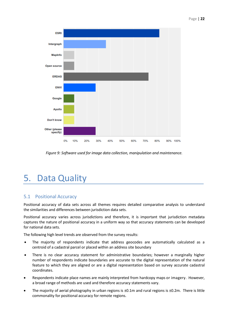

*Figure 9: Software used for image data collection, manipulation and maintenance.*

# <span id="page-21-0"></span>5. Data Quality

## <span id="page-21-1"></span>5.1 Positional Accuracy

Positional accuracy of data sets across all themes requires detailed comparative analysis to understand the similarities and differences between jurisdiction data sets.

Positional accuracy varies across jurisdictions and therefore, it is important that jurisdiction metadata captures the nature of positional accuracy in a uniform way so that accuracy statements can be developed for national data sets.

The following high level trends are observed from the survey results:

- The majority of respondents indicate that address geocodes are automatically calculated as a centroid of a cadastral parcel or placed within an address site boundary
- There is no clear accuracy statement for administrative boundaries; however a marginally higher number of respondents indicate boundaries are accurate to the digital representation of the natural feature to which they are aligned or are a digital representation based on survey accurate cadastral coordinates.
- Respondents indicate place names are mainly interpreted from hardcopy maps or imagery. However, a broad range of methods are used and therefore accuracy statements vary.
- The majority of aerial photography in urban regions is ±0.1m and rural regions is ±0.2m. There is little commonality for positional accuracy for remote regions.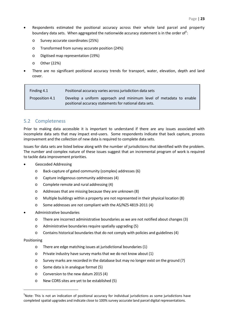- Page | **23**
- Respondents estimated the positional accuracy across their whole land parcel and property boundary data sets. When aggregated the nationwide accuracy statement is in the order of $5$ :
	- o Survey accurate coordinates (25%)
	- o Transformed from survey accurate position (24%)
	- o Digitised map representation (19%)
	- o Other (22%)
- There are no significant positional accuracy trends for transport, water, elevation, depth and land cover.

| Finding 4.1     | Positional accuracy varies across jurisdiction data sets                                                                     |  |  |  |  |
|-----------------|------------------------------------------------------------------------------------------------------------------------------|--|--|--|--|
| Proposition 4.1 | Develop a uniform approach and minimum level of metadata to enable<br>positional accuracy statements for national data sets. |  |  |  |  |

## <span id="page-22-0"></span>5.2 Completeness

Prior to making data accessible it is important to understand if there are any issues associated with incomplete data sets that may impact end-users. Some respondents indicate that back capture, process improvement and the collection of new data is required to complete data sets.

Issues for data sets are listed below along with the number of jurisdictions that identified with the problem. The number and complex nature of these issues suggest that an incremental program of work is required to tackle data improvement priorities.

- Geocoded Addressing
	- o Back-capture of gated community (complex) addresses (6)
	- o Capture indigenous community addresses (4)
	- o Complete remote and rural addressing (4)
	- o Addresses that are missing because they are unknown (8)
	- o Multiple buildings within a property are not represented in their physical location (8)
	- o Some addresses are not compliant with the AS/NZS 4819-2011 (4)
- Administrative boundaries
	- o There are incorrect administrative boundaries as we are not notified about changes (3)
	- o Administrative boundaries require spatially upgrading (5)
	- o Contains historical boundaries that do not comply with policies and guidelines (4)

#### Positioning

- o There are edge matching issues at jurisdictional boundaries (1)
- o Private industry have survey marks that we do not know about (1)
- o Survey marks are recorded in the database but may no longer exist on the ground (7)
- o Some data is in analogue format (5)
- o Conversion to the new datum 2015 (4)
- o New CORS sites are yet to be established (5)

 $5$ Note: This is not an indication of positional accuracy for individual jurisdictions as some jurisdictions have completed spatial upgrades and indicate close to 100% survey accurate land parcel digital representations.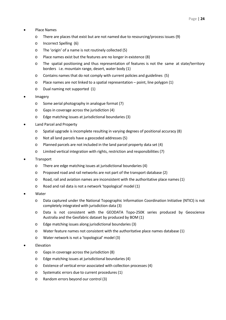- Place Names
	- o There are places that exist but are not named due to resourcing/process issues (9)
	- o Incorrect Spelling (6)
	- o The 'origin' of a name is not routinely collected (5)
	- o Place names exist but the features are no longer in existence (8)
	- o The spatial positioning and thus representation of features is not the same at state/territory borders i.e. mountain range, desert, water body (1)
	- o Contains names that do not comply with current policies and guidelines (5)
	- o Place names are not linked to a spatial representation point, line polygon (1)
	- o Dual naming not supported (1)
- Imagery
	- o Some aerial photography in analogue format (7)
	- o Gaps in coverage across the jurisdiction (4)
	- o Edge matching issues at jurisdictional boundaries (3)
- Land Parcel and Property
	- o Spatial upgrade is incomplete resulting in varying degrees of positional accuracy (8)
	- o Not all land parcels have a geocoded addresses (5)
	- o Planned parcels are not included in the land parcel property data set (4)
	- o Limited vertical integration with rights, restriction and responsibilities (7)
- **Transport** 
	- o There are edge matching issues at jurisdictional boundaries (4)
	- o Proposed road and rail networks are not part of the transport database (2)
	- o Road, rail and aviation names are inconsistent with the authoritative place names (1)
	- o Road and rail data is not a network 'topological' model (1)
- Water
	- o Data captured under the National Topographic Information Coordination Initiative (NTICI) is not completely integrated with jurisdiction data (3)
	- o Data is not consistent with the GEODATA Topo-250K series produced by Geoscience Australia and the Geofabric dataset by produced by BOM (1)
	- o Edge matching issues along jurisdictional boundaries (3)
	- o Water feature names not consistent with the authoritative place names database (1)
	- o Water network is not a 'topological' model (3)
- **Elevation** 
	- o Gaps in coverage across the jurisdiction (8)
	- o Edge matching issues at jurisdictional boundaries (4)
	- o Existence of vertical error associated with collection processes (4)
	- o Systematic errors due to current procedures (1)
	- o Random errors beyond our control (3)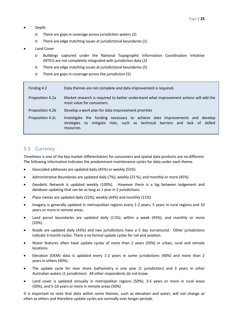- Depth
	- o There are gaps in coverage across jurisdiction waters (2)
	- o There are edge matching issues at jurisdictional boundaries (1)
- Land Cover
	- o Buildings captured under the National Topographic Information Coordination Initiative (NTICI) are not completely integrated with jurisdiction data (2)
	- o There are edge matching issues at jurisdictional boundaries (5)
	- o There are gaps in coverage across the jurisdiction (5)

| Finding 4.2      | Data themes are not complete and data improvement is required.                                                                                                                 |  |  |  |
|------------------|--------------------------------------------------------------------------------------------------------------------------------------------------------------------------------|--|--|--|
| Proposition 4.2a | Market research is required to better understand what improvement actions will add the<br>most value for consumers.                                                            |  |  |  |
| Proposition 4.2b | Develop a work plan for data improvement priorities                                                                                                                            |  |  |  |
| Proposition 4.2c | Investigate the funding necessary to achieve data improvements and develop<br>mitigate risks, such as technical barriers and lack of skilled<br>to<br>strategies<br>resources. |  |  |  |

### <span id="page-24-0"></span>5.3 Currency

Timeliness is one of the key market differentiators for consumers and spatial data products are no different. The following information indicates the predominant maintenance cycles for data under each theme.

- Geocoded addresses are updated daily (45%) or weekly (55%)
- Administrative Boundaries are updated daily (7%); weekly (23 %); and monthly or more (45%)
- Geodetic Network is updated weekly (100%). However there is a lag between lodgement and database updating that can be as long as 1 year in 2 jurisdictions.
- Place names are updated daily (22%); weekly (44%) and monthly (11%)
- Imagery is generally updated in metropolitan regions every 1-2 years; 5 years in rural regions and 10 years or more in remote areas.
- Land parcel boundaries are updated daily (11%); within a week (45%); and monthly or more (33%).
- Roads are updated daily (43%) and two jurisdictions have a 5 day turnaround. Other jurisdictions indicate 3 month cycles. There a no formal update cycles for rail and aviation.
- Water features often have update cycles of more than 2 years (50%) in urban, rural and remote locations.
- Elevation (DEM) data is updated every 1-2 years in some jurisdictions (40%) and more than 2 years in others (40%).
- The update cycle for near shore bathymetry is one year (1 jurisdiction) and 3 years in other Australian waters (1 jurisdiction). All other respondents do not know.
- Land cover is updated annually in metropolitan regions (50%); 3-5 years or more in rural areas (50%), and 5-10 years or more in remote areas (50%)

It is important to note that data within some themes, such as elevation and water, will not change as often as others and therefore update cycles are normally over longer periods.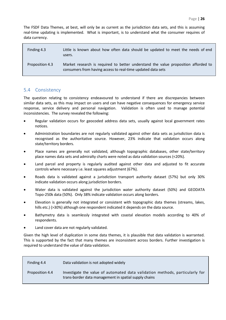The FSDF Data Themes, at best, will only be as current as the jurisdiction data sets, and this is assuming real-time updating is implemented. What is important, is to understand what the consumer requires of data currency.

| Finding 4.3     | Little is known about how often data should be updated to meet the needs of end<br>users.                                                         |
|-----------------|---------------------------------------------------------------------------------------------------------------------------------------------------|
| Proposition 4.3 | Market research is required to better understand the value proposition afforded to<br>consumers from having access to real-time updated data sets |

### <span id="page-25-0"></span>5.4 Consistency

The question relating to consistency endeavoured to understand if there are discrepancies between similar data sets, as this may impact on users and can have negative consequences for emergency service response, service delivery and personal navigation. Validation is often used to manage potential inconsistencies. The survey revealed the following:

- Regular validation occurs for geocoded address data sets, usually against local government rates notices.
- Administration boundaries are not regularly validated against other data sets as jurisdiction data is recognised as the authoritative source. However, 23% indicate that validation occurs along state/territory borders.
- Place names are generally not validated, although topographic databases, other state/territory place names data sets and admiralty charts were noted as data validation sources (<20%).
- Land parcel and property is regularly audited against other data and adjusted to fit accurate controls where necessary i.e. least squares adjustment (67%).
- Roads data is validated against a jurisdiction transport authority dataset (57%) but only 30% indicate validation occurs along jurisdiction borders.
- Water data is validated against the jurisdiction water authority dataset (50%) and GEODATA Topo-250k data (50%). Only 38% indicate validation occurs along borders.
- Elevation is generally not integrated or consistent with topographic data themes (streams, lakes, hills etc.) (>30%) although one respondent indicated it depends on the data source.
- Bathymetry data is seamlessly integrated with coastal elevation models according to 40% of respondents.
- Land cover data are not regularly validated.

Given the high level of duplication in some data themes, it is plausible that data validation is warranted. This is supported by the fact that many themes are inconsistent across borders. Further investigation is required to understand the value of data validation.

| Finding 4.4     | Data validation is not adopted widely                                                                                                 |
|-----------------|---------------------------------------------------------------------------------------------------------------------------------------|
| Proposition 4.4 | Investigate the value of automated data validation methods, particularly for<br>trans-border data management in spatial supply chains |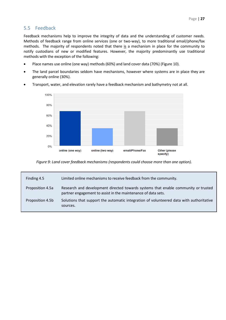## <span id="page-26-0"></span>5.5 Feedback

Feedback mechanisms help to improve the integrity of data and the understanding of customer needs. Methods of feedback range from online services (one or two-way), to more traditional email/phone/fax methods. The majority of respondents noted that there is a mechanism in place for the community to notify custodians of new or modified features. However, the majority predominantly use traditional methods with the exception of the following:

- Place names use online (one way) methods (60%) and land cover data (70%) (Figure 10).
- The land parcel boundaries seldom have mechanisms, however where systems are in place they are generally online (30%).



• Transport, water, and elevation rarely have a feedback mechanism and bathymetry not at all.

*Figure 9: Land cover feedback mechanisms (respondents could choose more than one option).*

| Finding 4.5      | Limited online mechanisms to receive feedback from the community.                                                                                   |
|------------------|-----------------------------------------------------------------------------------------------------------------------------------------------------|
| Proposition 4.5a | Research and development directed towards systems that enable community or trusted<br>partner engagement to assist in the maintenance of data sets. |
| Proposition 4.5b | Solutions that support the automatic integration of volunteered data with authoritative<br>sources.                                                 |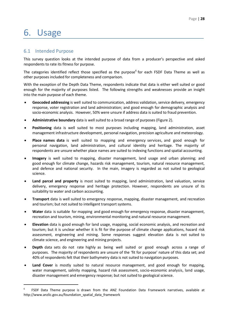# <span id="page-27-0"></span>6. Usage

## <span id="page-27-1"></span>6.1 Intended Purpose

This survey question looks at the intended purpose of data from a producer's perspective and asked respondents to rate its fitness for purpose.

The categories identified reflect those specified as the purpose<sup>6</sup> for each FSDF Data Theme as well as other purposes included for completeness and comparison.

With the exception of the Depth Data Theme, respondents indicate that data is either well suited or good enough for the majority of purposes listed. The following strengths and weaknesses provide an insight into the main purpose of each theme.

- **Geocoded addressing** is well suited to communication, address validation, service delivery, emergency response, voter registration and land administration; and good enough for demographic analysis and socio-economic analysis. However, 50% were unsure if address data is suited to fraud prevention.
- **Administrative boundary** data is well suited to a broad range of purposes (Figure 2).
- **Positioning** data is well suited to most purposes including mapping, land administration, asset management infrastructure development, personal navigation, precision agriculture and meteorology.
- **Place names data** is well suited to mapping and emergency services, and good enough for personal navigation, land administration, and cultural identity and heritage. The majority of respondents are unsure whether place names are suited to indexing functions and spatial accounting.
- **Imagery** is well suited to mapping, disaster management, land usage and urban planning; and good enough for climate change, hazards risk management, tourism, natural resource management, and defence and national security. In the main, imagery is regarded as not suited to geological science.
- **Land parcel and property** is most suited to mapping, land administration, land valuation, service delivery, emergency response and heritage protection. However, respondents are unsure of its suitability to water and carbon accounting.
- **Transport** data is well suited to emergency response, mapping, disaster management, and recreation and tourism; but not suited to intelligent transport systems.
- **Water** data is suitable for mapping and good enough for emergency response, disaster management, recreation and tourism, mining, environmental monitoring and natural resource management.
- **Elevation** data is good enough for land usage, mapping, social economic analysis, and recreation and tourism; but it is unclear whether it is fit for the purpose of climate change applications, hazard risk assessment, engineering and mining. Some responses suggest elevation data is not suited to climate science, and engineering and mining projects.
- **Depth** data sets do not rate highly as being well suited or good enough across a range of purposes. The majority of respondents are unsure of the 'fit for purpose' nature of this data set; and 40% of respondents felt that their bathymetry data is not suited to navigation purposes.
- **Land Cover** is mostly suited to natural resource management, and good enough for mapping, water management, salinity mapping, hazard risk assessment, socio-economic analysis, land usage, disaster management and emergency response; but not suited to geological science.

<sup>6</sup> FSDF Data Theme purpose is drawn from the ANZ Foundation Data Framework narratives, available at [http://www.anzlic.gov.au/foundation\\_spatial\\_data\\_framework](http://www.anzlic.gov.au/foundation_spatial_data_framework)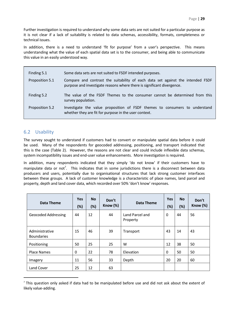Further investigation is required to understand why some data sets are not suited for a particular purpose as it is not clear if a lack of suitability is related to data schemas, accessibility, formats, completeness or technical issues.

In addition, there is a need to understand 'fit for purpose' from a user's perspective. This means understanding what the value of each spatial data set is to the consumer, and being able to communicate this value in an easily understood way.

| Finding 5.1     | Some data sets are not suited to FSDF intended purposes.                                                                                                  |
|-----------------|-----------------------------------------------------------------------------------------------------------------------------------------------------------|
| Proposition 5.1 | Compare and contrast the suitability of each data set against the intended FSDF<br>purpose and investigate reasons where there is significant divergence. |
| Finding 5.2     | The value of the FSDF Themes to the consumer cannot be determined from this<br>survey population.                                                         |
| Proposition 5.2 | Investigate the value proposition of FSDF themes to consumers to understand<br>whether they are fit for purpose in the user context.                      |

### <span id="page-28-0"></span>6.2 Usability

The survey sought to understand if customers had to convert or manipulate spatial data before it could be used. Many of the respondents for geocoded addressing, positioning, and transport indicated that this is the case (Table 2). However, the reasons are not clear and could include inflexible data schemas, system incompatibility issues and end-user value enhancements. More investigation is required.

In addition, many respondents indicated that they simply 'do not know' if their customers have to manipulate data or not<sup>7</sup>. This indicates that in some jurisdictions there is a disconnect between data producers and users, potentially due to organisational structures that lack strong customer interfaces between these groups. A lack of customer knowledge is a characteristic of place names, land parcel and property, depth and land cover data, which recorded over 50% 'don't know' responses.

| Data Theme                          | <b>Yes</b><br>(%) | <b>No</b><br>(%) | Don't<br>Know $(\%)$ | Data Theme                  | <b>Yes</b><br>(%) | <b>No</b><br>(%) | Don't<br>Know (%) |
|-------------------------------------|-------------------|------------------|----------------------|-----------------------------|-------------------|------------------|-------------------|
| <b>Geocoded Addressing</b>          | 44                | 12               | 44                   | Land Parcel and<br>Property | 0                 | 44               | 56                |
| Administrative<br><b>Boundaries</b> | 15                | 46               | 39                   | Transport                   | 43                | 14               | 43                |
| Positioning                         | 50                | 25               | 25                   | W                           | 12                | 38               | 50                |
| <b>Place Names</b>                  | $\mathbf 0$       | 22               | 78                   | Elevation                   | $\mathbf 0$       | 50               | 50                |
| Imagery                             | 11                | 56               | 33                   | Depth                       | 20                | 20               | 60                |
| Land Cover                          | 25                | 12               | 63                   |                             |                   |                  |                   |

<sup>7</sup> This question only asked if data had to be manipulated before use and did not ask about the extent of likely value-adding.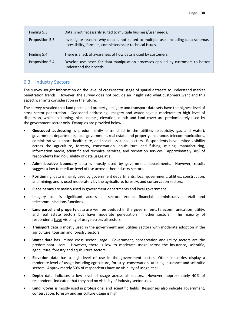| Finding 5.3     | Data is not necessarily suited to multiple business/user needs.                                                                                  |  |  |  |
|-----------------|--------------------------------------------------------------------------------------------------------------------------------------------------|--|--|--|
| Proposition 5.3 | Investigate reasons why data is not suited to multiple uses including data schemas,<br>accessibility, formats, completeness or technical issues. |  |  |  |
| Finding 5.4     | There is a lack of awareness of how data is used by customers.                                                                                   |  |  |  |
| Proposition 5.4 | Develop use cases for data manipulation processes applied by customers to better<br>understand their needs.                                      |  |  |  |

## <span id="page-29-0"></span>6.3 Industry Sectors

The survey sought information on the level of cross-sector usage of spatial datasets to understand market penetration trends. However, the survey does not provide an insight into what customers want and this aspect warrants consideration in the future.

The survey revealed that land parcel and property, imagery and transport data sets have the highest level of cross sector penetration. Geocoded addressing, imagery and water have a moderate to high level of dispersion, while positioning, place names, elevation, depth and land cover are predominately used by the government sector only. Examples are provided below.

- **Geocoded addressing** is predominantly entrenched in the utilities (electricity, gas and water), government departments, local government, real estate and property, insurance, telecommunications, administrative support, health care, and social assistance sectors. Respondents have limited visibility across the agriculture, forestry, conservation, aquiculture and fishing, mining, manufacturing, information media, scientific and technical services, and recreation services. Approximately 30% of respondents had no visibility of data usage at all.
- **Administrative boundary** data is mostly used by government departments. However, results suggest a low to medium level of use across other industry sectors.
- **Positioning** data is mainly used by government departments, local government, utilities, construction, and mining; and is used moderately by the agriculture, forestry, and conservation sectors.
- **Place names** are mainly used in government departments and local government.
- Imagery use is significant across all sectors except financial, administrative, retail and telecommunications functions.
- **Land parcel and property** data are well embedded in the government, telecommunication, utility, and real estate sectors but have moderate penetration in other sectors. The majority of respondents have visibility of usage across all sectors.
- **Transport** data is mostly used in the government and utilities sectors with moderate adoption in the agriculture, tourism and forestry sectors.
- **Water** data has limited cross sector usage. Government, conservation and utility sectors are the predominant users. However, there is low to moderate usage across the insurance, scientific, agriculture, forestry and aquiculture sectors.
- **Elevation** data has a high level of use in the government sector. Other industries display a moderate level of usage including agriculture, forestry, conservation, utilities, insurance and scientific sectors. Approximately 50% of respondents have no visibility of usage at all.
- **Depth** data indicates a low level of usage across all sectors. However, approximately 40% of respondents indicated that they had no visibility of industry sector uses.
- **Land Cover** is mostly used in professional and scientific fields. Responses also indicate government, conservation, forestry and agriculture usage is high.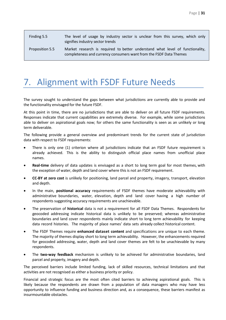| Finding 5.5     | The level of usage by industry sector is unclear from this survey, which only<br>signifies industry sector trends                                   |  |  |  |
|-----------------|-----------------------------------------------------------------------------------------------------------------------------------------------------|--|--|--|
| Proposition 5.5 | Market research is required to better understand what level of functionality,<br>completeness and currency consumers want from the FSDF Data Themes |  |  |  |

## <span id="page-30-0"></span>7. Alignment with FSDF Future Needs

The survey sought to understand the gaps between what jurisdictions are currently able to provide and the functionality envisaged for the future FSDF.

At this point in time, there are no jurisdictions that are able to deliver on all future FSDF requirements. Responses indicate that current capabilities are extremely diverse. For example, while some jurisdictions able to deliver on aspirational goals now; for others the same functionality is seen as an unlikely or long term deliverable.

The following provide a general overview and predominant trends for the current state of jurisdiction data with respect to FSDF requirements:

- There is only one (1) criterion where all jurisdictions indicate that an FSDF future requirement is already achieved. This is the ability to distinguish official place names from unofficial place names.
- **Real-time** delivery of data updates is envisaged as a short to long term goal for most themes, with the exception of water, depth and land cover where this is not an FSDF requirement.
- **CC-BY at zero cost** is unlikely for positioning, land parcel and property, imagery, transport, elevation and depth.
- In the main, **positional accuracy** requirements of FSDF themes have moderate achievability with administrative boundaries, water, elevation, depth and land cover having a high number of respondents suggesting accuracy requirements are unachievable.
- The preservation of **historical** data is not a requirement for all FSDF Data Themes. Respondents for geocoded addressing indicate historical data is unlikely to be preserved; whereas administrative boundaries and land cover respondents mainly indicate short to long term achievability for keeping data record histories. The majority of place names' data sets already collect historical content.
- The FSDF Themes require **enhanced dataset content** and specifications are unique to each theme. The majority of themes display short to long term achievability. However, the enhancements required for geocoded addressing, water, depth and land cover themes are felt to be unachievable by many respondents.
- The **two-way feedback** mechanism is unlikely to be achieved for administrative boundaries, land parcel and property, imagery and depth.

The perceived barriers include limited funding, lack of skilled resources, technical limitations and that activities are not recognised as either a business priority or policy.

Financial and strategic focus are the most often cited barriers to achieving aspirational goals. This is likely because the respondents are drawn from a population of data managers who may have less opportunity to influence funding and business direction and, as a consequence, these barriers manifest as insurmountable obstacles.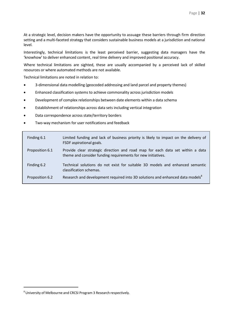At a strategic level, decision makers have the opportunity to assuage these barriers through firm direction setting and a multi-faceted strategy that considers sustainable business models at a jurisdiction and national level.

Interestingly, technical limitations is the least perceived barrier, suggesting data managers have the 'knowhow' to deliver enhanced content, real time delivery and improved positional accuracy.

Where technical limitations are sighted, these are usually accompanied by a perceived lack of skilled resources or where automated methods are not available.

Technical limitations are noted in relation to:

- 3-dimensional data modelling (geocoded addressing and land parcel and property themes)
- Enhanced classification systems to achieve commonality across jurisdiction models
- Development of complex relationships between date elements within a data schema
- Establishment of relationships across data sets including vertical integration
- Data correspondence across state/territory borders
- Two-way mechanism for user notifications and feedback

| Finding 6.1     | Limited funding and lack of business priority is likely to impact on the delivery of<br>FSDF aspirational goals.                               |
|-----------------|------------------------------------------------------------------------------------------------------------------------------------------------|
| Proposition 6.1 | Provide clear strategic direction and road map for each data set within a data<br>theme and consider funding requirements for new initiatives. |
| Finding 6.2     | Technical solutions do not exist for suitable 3D models and enhanced semantic<br>classification schemas.                                       |
| Proposition 6.2 | Research and development required into 3D solutions and enhanced data models <sup>8</sup>                                                      |

<sup>8</sup> University of Melbourne and CRCSI Program 3 Research respectively.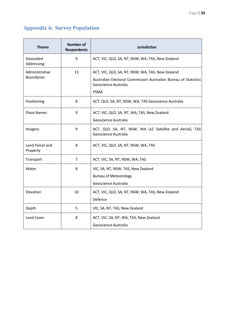## <span id="page-32-0"></span>**Appendix A: Survey Population**

| <b>Theme</b>                        | <b>Number of</b><br><b>Respondents</b> | <b>Jurisdiction</b>                                                                                                                                        |  |
|-------------------------------------|----------------------------------------|------------------------------------------------------------------------------------------------------------------------------------------------------------|--|
| Geocoded<br>Addressing              | 9                                      | ACT, VIC, QLD, SA, NT, NSW, WA, TAS, New Zealand                                                                                                           |  |
| Administrative<br><b>Boundaries</b> | 13                                     | ACT, VIC, QLD, SA, NT, NSW, WA, TAS, New Zealand<br>Australian Electoral Commission Australian Bureau of Statistics<br>Geoscience Australia<br><b>PSMA</b> |  |
| Positioning                         | 8                                      | ACT, QLD, SA, NT, NSW, WA, TAS Geoscience Australia                                                                                                        |  |
| <b>Place Names</b>                  | 9                                      | ACT, VIC, QLD, SA, NT, WA, TAS, New Zealand<br>Geoscience Australia                                                                                        |  |
| Imagery                             | 9                                      | ACT, QLD, SA, NT, NSW, WA (x2 Satellite and Aerial), TAS<br>Geoscience Australia                                                                           |  |
| Land Parcel and<br>Property         | 8                                      | ACT, VIC, QLD, SA, NT, NSW, WA, TAS                                                                                                                        |  |
| Transport                           | 7                                      | ACT, VIC, SA, NT, NSW, WA, TAS                                                                                                                             |  |
| Water                               | 8                                      | VIC, SA, NT, NSW, TAS, New Zealand<br><b>Bureau of Meteorology</b><br>Geoscience Australia                                                                 |  |
| Elevation                           | 10                                     | ACT, VIC, QLD, SA, NT, NSW, WA, TAS, New Zealand<br>Defence                                                                                                |  |
| Depth                               | 5                                      | VIC, SA, NT, TAS, New Zealand                                                                                                                              |  |
| Land Cover                          | 8                                      | ACT, VIC, SA, NT, WA, TAS, New Zealand<br>Geoscience Australia                                                                                             |  |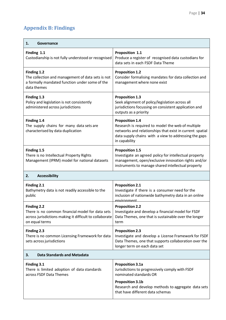## <span id="page-33-0"></span>**Appendix B: Findings**

| 1.<br>Governance                                                                                                                                    |                                                                                                                                                                                                                            |
|-----------------------------------------------------------------------------------------------------------------------------------------------------|----------------------------------------------------------------------------------------------------------------------------------------------------------------------------------------------------------------------------|
| Finding 1.1<br>Custodianship is not fully understood or recognised                                                                                  | Proposition 1.1<br>Produce a register of recognised data custodians for<br>data sets in each FSDF Data Theme                                                                                                               |
| Finding 1.2<br>The collection and management of data sets is not<br>a formally mandated function under some of the<br>data themes                   | <b>Proposition 1.2</b><br>Consider formalising mandates for data collection and<br>management where none exist                                                                                                             |
| Finding 1.3<br>Policy and legislation is not consistently<br>administered across jurisdictions                                                      | <b>Proposition 1.3</b><br>Seek alignment of policy/legislation across all<br>jurisdictions focussing on consistent application and<br>outputs as a priority                                                                |
| Finding 1.4<br>The supply chains for many data sets are<br>characterised by data duplication                                                        | <b>Proposition 1.4</b><br>Research is required to model the web of multiple<br>networks and relationships that exist in current spatial<br>data supply chains with a view to addressing the gaps<br>in capability          |
| Finding 1.5<br>There is no Intellectual Property Rights<br>Management (IPRM) model for national datasets                                            | <b>Proposition 1.5</b><br>Investigate an agreed policy for intellectual property<br>management, open/exclusive innovation rights and/or<br>instruments to manage shared intellectual property                              |
| <b>Accessibility</b><br>2.                                                                                                                          |                                                                                                                                                                                                                            |
| Finding 2.1<br>Bathymetry data is not readily accessible to the<br>public                                                                           | <b>Proposition 2.1</b><br>Investigate if there is a consumer need for the<br>inclusion of nationwide bathymetry data in an online<br>environment                                                                           |
| <b>Finding 2.2</b><br>There is no common financial model for data sets<br>across jurisdictions making it difficult to collaborate<br>on equal terms | <b>Proposition 2.2</b><br>Investigate and develop a financial model for FSDF<br>Data Themes, one that is sustainable over the longer<br>term                                                                               |
| Finding 2.3<br>There is no common Licensing Framework for data<br>sets across jurisdictions                                                         | <b>Proposition 2.3</b><br>Investigate and develop a License Framework for FSDF<br>Data Themes, one that supports collaboration over the<br>longer term on each data set                                                    |
| <b>Data Standards and Metadata</b><br>3.                                                                                                            |                                                                                                                                                                                                                            |
| Finding 3.1<br>There is limited adoption of data standards<br>across FSDF Data Themes                                                               | <b>Proposition 3.1a</b><br>Jurisdictions to progressively comply with FSDF<br>nominated standards OR<br><b>Proposition 3.1b</b><br>Research and develop methods to aggregate data sets<br>that have different data schemas |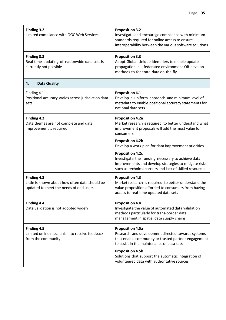| Finding 3.2<br>Limited compliance with OGC Web Services                                                 | <b>Proposition 3.2</b><br>Investigate and encourage compliance with minimum<br>standards required for online access to ensure<br>interoperability between the various software solutions          |
|---------------------------------------------------------------------------------------------------------|---------------------------------------------------------------------------------------------------------------------------------------------------------------------------------------------------|
| Finding 3.3<br>Real-time updating of nationwide data sets is<br>currently not possible                  | <b>Proposition 3.3</b><br>Adopt Global Unique Identifiers to enable update<br>propagation in a federated environment OR develop<br>methods to federate data on-the-fly                            |
| <b>Data Quality</b><br>4.                                                                               |                                                                                                                                                                                                   |
| Finding 4.1<br>Positional accuracy varies across jurisdiction data<br>sets                              | <b>Proposition 4.1</b><br>Develop a uniform approach and minimum level of<br>metadata to enable positional accuracy statements for<br>national data sets                                          |
| Finding 4.2<br>Data themes are not complete and data<br>improvement is required                         | <b>Proposition 4.2a</b><br>Market research is required to better understand what<br>improvement proposals will add the most value for<br>consumers                                                |
|                                                                                                         | <b>Proposition 4.2b</b><br>Develop a work plan for data improvement priorities                                                                                                                    |
|                                                                                                         | <b>Proposition 4.2c</b><br>Investigate the funding necessary to achieve data<br>improvements and develop strategies to mitigate risks<br>such as technical barriers and lack of skilled resources |
| Finding 4.3<br>Little is known about how often data should be<br>updated to meet the needs of end users | <b>Proposition 4.3</b><br>Market research is required to better understand the<br>value proposition afforded to consumers from having<br>access to real-time updated data sets                    |
| Finding 4.4<br>Data validation is not adopted widely                                                    | <b>Proposition 4.4</b><br>Investigate the value of automated data validation<br>methods particularly for trans-border data<br>management in spatial data supply chains                            |
| Finding 4.5<br>Limited online mechanism to receive feedback<br>from the community                       | <b>Proposition 4.5a</b><br>Research and development directed towards systems<br>that enable community or trusted partner engagement<br>to assist in the maintenance of data sets                  |
|                                                                                                         | <b>Proposition 4.5b</b><br>Solutions that support the automatic integration of<br>volunteered data with authoritative sources                                                                     |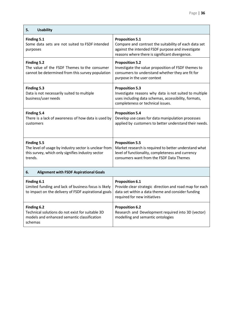| <b>Usability</b><br>5.                                                                                                               |                                                                                                                                                                                        |
|--------------------------------------------------------------------------------------------------------------------------------------|----------------------------------------------------------------------------------------------------------------------------------------------------------------------------------------|
| Finding 5.1<br>Some data sets are not suited to FSDF intended<br>purposes                                                            | <b>Proposition 5.1</b><br>Compare and contrast the suitability of each data set<br>against the intended FSDF purpose and investigate<br>reasons where there is significant divergence. |
| Finding 5.2<br>The value of the FSDF Themes to the consumer<br>cannot be determined from this survey population                      | <b>Proposition 5.2</b><br>Investigate the value proposition of FSDF themes to<br>consumers to understand whether they are fit for<br>purpose in the user context                       |
| Finding 5.3<br>Data is not necessarily suited to multiple<br>business/user needs                                                     | <b>Proposition 5.3</b><br>Investigate reasons why data is not suited to multiple<br>uses including data schemas, accessibility, formats,<br>completeness or technical issues.          |
| Finding 5.4<br>There is a lack of awareness of how data is used by<br>customers                                                      | <b>Proposition 5.4</b><br>Develop use cases for data manipulation processes<br>applied by customers to better understand their needs.                                                  |
| Finding 5.5<br>The level of usage by industry sector is unclear from<br>this survey, which only signifies industry sector<br>trends. | <b>Proposition 5.5</b><br>Market research is required to better understand what<br>level of functionality, completeness and currency<br>consumers want from the FSDF Data Themes       |
| <b>Alignment with FSDF Aspirational Goals</b><br>6.                                                                                  |                                                                                                                                                                                        |
| Finding 6.1<br>Limited funding and lack of business focus is likely<br>to impact on the delivery of FSDF aspirational goals          | <b>Proposition 6.1</b><br>Provide clear strategic direction and road map for each<br>data set within a data theme and consider funding<br>required for new initiatives                 |
| Finding 6.2<br>Technical solutions do not exist for suitable 3D<br>models and enhanced semantic classification<br>schemas            | <b>Proposition 6.2</b><br>Research and Development required into 3D (vector)<br>modelling and semantic ontologies                                                                      |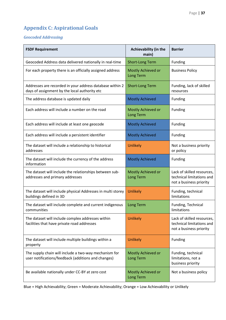## <span id="page-36-0"></span>**Appendix C: Aspirational Goals**

## *Geocoded Addressing*

| <b>FSDF Requirement</b>                                                                                      | <b>Achievability (in the</b><br>main)  | <b>Barrier</b>                                                                     |
|--------------------------------------------------------------------------------------------------------------|----------------------------------------|------------------------------------------------------------------------------------|
| Geocoded Address data delivered nationally in real-time                                                      | <b>Short-Long Term</b>                 | Funding                                                                            |
| For each property there is an officially assigned address                                                    | Mostly Achieved or<br>Long Term        | <b>Business Policy</b>                                                             |
| Addresses are recorded in your address database within 2<br>days of assignment by the local authority etc    | <b>Short-Long Term</b>                 | Funding, lack of skilled<br>resources                                              |
| The address database is updated daily                                                                        | <b>Mostly Achieved</b>                 | Funding                                                                            |
| Each address will include a number on the road                                                               | Mostly Achieved or<br><b>Long Term</b> | Funding                                                                            |
| Each address will include at least one geocode                                                               | <b>Mostly Achieved</b>                 | Funding                                                                            |
| Each address will include a persistent identifier                                                            | <b>Mostly Achieved</b>                 | Funding                                                                            |
| The dataset will include a relationship to historical<br>addresses                                           | <b>Unlikely</b>                        | Not a business priority<br>or policy                                               |
| The dataset will include the currency of the address<br>information                                          | <b>Mostly Achieved</b>                 | <b>Funding</b>                                                                     |
| The dataset will include the relationships between sub-<br>addresses and primary addresses                   | Mostly Achieved or<br><b>Long Term</b> | Lack of skilled resources,<br>technical limitations and<br>not a business priority |
| The dataset will include physical Addresses in multi storey<br>buildings defined in 3D                       | <b>Unlikely</b>                        | Funding, technical<br>limitations                                                  |
| The dataset will include complete and current indigenous<br>communities                                      | Long Term                              | Funding, Technical<br>limitations                                                  |
| The dataset will include complex addresses within<br>facilities that have private road addresses             | <b>Unlikely</b>                        | Lack of skilled resources,<br>technical limitations and<br>not a business priority |
| The dataset will include multiple buildings within a<br>property                                             | <b>Unlikely</b>                        | Funding                                                                            |
| The supply chain will include a two-way mechanism for<br>user notifications/feedback (additions and changes) | Mostly Achieved or<br>Long Term        | Funding, technical<br>limitations, not a<br>business priority                      |
| Be available nationally under CC-BY at zero cost                                                             | Mostly Achieved or<br>Long Term        | Not a business policy                                                              |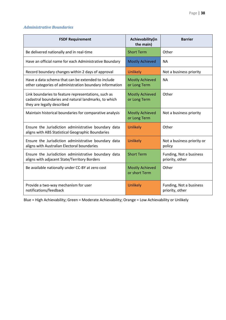### *Administrative Boundaries*

| <b>FSDF Requirement</b>                                                                                                                   | Achievability(in<br>the main)           | <b>Barrier</b>                             |
|-------------------------------------------------------------------------------------------------------------------------------------------|-----------------------------------------|--------------------------------------------|
| Be delivered nationally and in real-time                                                                                                  | <b>Short Term</b>                       | Other                                      |
| Have an official name for each Administrative Boundary                                                                                    | <b>Mostly Achieved</b>                  | <b>NA</b>                                  |
| Record boundary changes within 2 days of approval                                                                                         | <b>Unlikely</b>                         | Not a business priority                    |
| Have a data schema that can be extended to include<br>other categories of administration boundary information                             | <b>Mostly Achieved</b><br>or Long Term  | <b>NA</b>                                  |
| Link boundaries to feature representations, such as<br>cadastral boundaries and natural landmarks, to which<br>they are legally described | <b>Mostly Achieved</b><br>or Long Term  | Other                                      |
| Maintain historical boundaries for comparative analysis                                                                                   | <b>Mostly Achieved</b><br>or Long Term  | Not a business priority                    |
| Ensure the Jurisdiction administrative boundary data<br>aligns with ABS Statistical Geographic Boundaries                                 | <b>Unlikely</b>                         | Other                                      |
| Ensure the Jurisdiction administrative boundary data<br>aligns with Australian Electoral boundaries                                       | <b>Unlikely</b>                         | Not a business priority or<br>policy       |
| Ensure the Jurisdiction administrative boundary data<br>aligns with adjacent State/Territory Borders                                      | <b>Short Term</b>                       | Funding, Not a business<br>priority, other |
| Be available nationally under CC-BY at zero cost                                                                                          | <b>Mostly Achieved</b><br>or short Term | Other                                      |
| Provide a two-way mechanism for user<br>notifications/feedback                                                                            | <b>Unlikely</b>                         | Funding, Not a business<br>priority, other |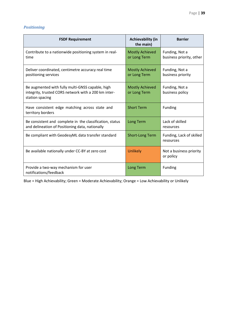#### *Positioning*

| <b>FSDF Requirement</b>                                                                                                     | <b>Achievability (in</b><br>the main)  | <b>Barrier</b>                             |
|-----------------------------------------------------------------------------------------------------------------------------|----------------------------------------|--------------------------------------------|
| Contribute to a nationwide positioning system in real-<br>time                                                              | <b>Mostly Achieved</b><br>or Long Term | Funding, Not a<br>business priority, other |
| Deliver coordinated, centimetre accuracy real time<br>positioning services                                                  | <b>Mostly Achieved</b><br>or Long Term | Funding, Not a<br>business priority        |
| Be augmented with fully multi-GNSS capable, high<br>integrity, trusted CORS network with a 200 km inter-<br>station spacing | <b>Mostly Achieved</b><br>or Long Term | Funding, Not a<br>business policy          |
| Have consistent edge matching across state and<br>territory borders                                                         | <b>Short Term</b>                      | Funding                                    |
| Be consistent and complete in the classification, status<br>and delineation of Positioning data, nationally                 | <b>Long Term</b>                       | Lack of skilled<br>resources               |
| Be compliant with GeodesyML data transfer standard                                                                          | <b>Short-Long Term</b>                 | Funding, Lack of skilled<br>resources      |
| Be available nationally under CC-BY at zero cost                                                                            | <b>Unlikely</b>                        | Not a business priority<br>or policy       |
| Provide a two-way mechanism for user<br>notifications/feedback                                                              | <b>Long Term</b>                       | Funding                                    |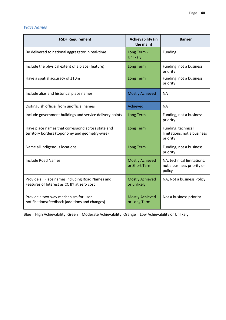#### *Place Names*

| <b>FSDF Requirement</b>                                                                             | <b>Achievability (in</b><br>the main)   | <b>Barrier</b>                                                     |
|-----------------------------------------------------------------------------------------------------|-----------------------------------------|--------------------------------------------------------------------|
| Be delivered to national aggregator in real-time                                                    | Long Term -<br>Unlikely                 | Funding                                                            |
| Include the physical extent of a place (feature)                                                    | <b>Long Term</b>                        | Funding, not a business<br>priority                                |
| Have a spatial accuracy of ±10m                                                                     | <b>Long Term</b>                        | Funding, not a business<br>priority                                |
| Include alias and historical place names                                                            | <b>Mostly Achieved</b>                  | <b>NA</b>                                                          |
| Distinguish official from unofficial names                                                          | Achieved                                | <b>NA</b>                                                          |
| Include government buildings and service delivery points                                            | <b>Long Term</b>                        | Funding, not a business<br>priority                                |
| Have place names that correspond across state and<br>territory borders (toponomy and geometry-wise) | <b>Long Term</b>                        | Funding, technical<br>limitations, not a business<br>priority      |
| Name all indigenous locations                                                                       | <b>Long Term</b>                        | Funding, not a business<br>priority                                |
| <b>Include Road Names</b>                                                                           | <b>Mostly Achieved</b><br>or Short Term | NA, technical limitations,<br>not a business priority or<br>policy |
| Provide all Place names including Road Names and<br>Features of Interest as CC BY at zero cost      | <b>Mostly Achieved</b><br>or unlikely   | NA, Not a business Policy                                          |
| Provide a two-way mechanism for user<br>notifications/feedback (additions and changes)              | <b>Mostly Achieved</b><br>or Long Term  | Not a business priority                                            |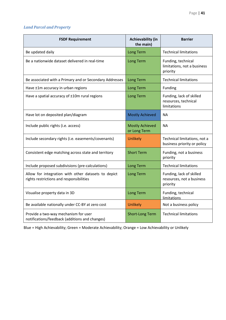### *Land Parcel and Property*

| <b>FSDF Requirement</b>                                                                         | <b>Achievability (in</b><br>the main)  | <b>Barrier</b>                                                    |
|-------------------------------------------------------------------------------------------------|----------------------------------------|-------------------------------------------------------------------|
| Be updated daily                                                                                | <b>Long Term</b>                       | <b>Technical limitations</b>                                      |
| Be a nationwide dataset delivered in real-time                                                  | <b>Long Term</b>                       | Funding, technical<br>limitations, not a business<br>priority     |
| Be associated with a Primary and or Secondary Addresses                                         | <b>Long Term</b>                       | <b>Technical limitations</b>                                      |
| Have ±1m accuracy in urban regions                                                              | <b>Long Term</b>                       | Funding                                                           |
| Have a spatial accuracy of ±10m rural regions                                                   | <b>Long Term</b>                       | Funding, lack of skilled<br>resources, technical<br>limitations   |
| Have lot on deposited plan/diagram                                                              | <b>Mostly Achieved</b>                 | <b>NA</b>                                                         |
| Include public rights (i.e. access)                                                             | <b>Mostly Achieved</b><br>or Long Term | <b>NA</b>                                                         |
| Include secondary rights (i.e. easements/covenants)                                             | <b>Unlikely</b>                        | Technical limitations, not a<br>business priority or policy       |
| Consistent edge matching across state and territory                                             | <b>Short Term</b>                      | Funding, not a business<br>priority                               |
| Include proposed subdivisions (pre-calculations)                                                | <b>Long Term</b>                       | <b>Technical limitations</b>                                      |
| Allow for integration with other datasets to depict<br>rights restrictions and responsibilities | <b>Long Term</b>                       | Funding, lack of skilled<br>resources, not a business<br>priority |
| Visualise property data in 3D                                                                   | <b>Long Term</b>                       | Funding, technical<br>limitations                                 |
| Be available nationally under CC-BY at zero cost                                                | <b>Unlikely</b>                        | Not a business policy                                             |
| Provide a two-way mechanism for user<br>notifications/feedback (additions and changes)          | <b>Short-Long Term</b>                 | <b>Technical limitations</b>                                      |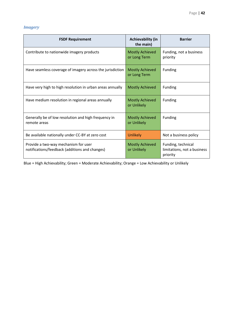### *Imagery*

| <b>FSDF Requirement</b>                                                                | <b>Achievability (in</b><br>the main)  | <b>Barrier</b>                                                |
|----------------------------------------------------------------------------------------|----------------------------------------|---------------------------------------------------------------|
| Contribute to nationwide imagery products                                              | <b>Mostly Achieved</b><br>or Long Term | Funding, not a business<br>priority                           |
| Have seamless coverage of imagery across the jurisdiction                              | <b>Mostly Achieved</b><br>or Long Term | <b>Funding</b>                                                |
| Have very high to high resolution in urban areas annually                              | <b>Mostly Achieved</b>                 | Funding                                                       |
| Have medium resolution in regional areas annually                                      | <b>Mostly Achieved</b><br>or Unlikely  | Funding                                                       |
| Generally be of low resolution and high frequency in<br>remote areas                   | <b>Mostly Achieved</b><br>or Unlikely  | Funding                                                       |
| Be available nationally under CC-BY at zero cost                                       | <b>Unlikely</b>                        | Not a business policy                                         |
| Provide a two-way mechanism for user<br>notifications/feedback (additions and changes) | <b>Mostly Achieved</b><br>or Unlikely  | Funding, technical<br>limitations, not a business<br>priority |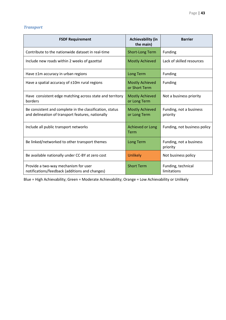### *Transport*

| <b>FSDF Requirement</b>                                                                                       | <b>Achievability (in</b><br>the main)   | <b>Barrier</b>                      |
|---------------------------------------------------------------------------------------------------------------|-----------------------------------------|-------------------------------------|
| Contribute to the nationwide dataset in real-time                                                             | <b>Short-Long Term</b>                  | Funding                             |
| Include new roads within 2 weeks of gazettal                                                                  | <b>Mostly Achieved</b>                  | Lack of skilled resources           |
| Have ±1m accuracy in urban regions                                                                            | Long Term                               | Funding                             |
| Have a spatial accuracy of ±10m rural regions                                                                 | <b>Mostly Achieved</b><br>or Short Term | Funding                             |
| Have consistent edge matching across state and territory<br>borders                                           | <b>Mostly Achieved</b><br>or Long Term  | Not a business priority             |
| Be consistent and complete in the classification, status<br>and delineation of transport features, nationally | <b>Mostly Achieved</b><br>or Long Term  | Funding, not a business<br>priority |
| Include all public transport networks                                                                         | Achieved or Long<br>Term                | Funding, not business policy        |
| Be linked/networked to other transport themes                                                                 | Long Term                               | Funding, not a business<br>priority |
| Be available nationally under CC-BY at zero cost                                                              | <b>Unlikely</b>                         | Not business policy                 |
| Provide a two-way mechanism for user<br>notifications/feedback (additions and changes)                        | <b>Short Term</b>                       | Funding, technical<br>limitations   |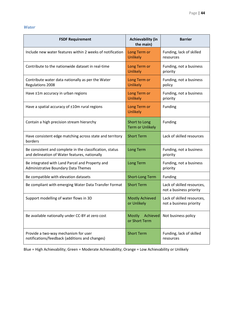#### *Water*

| <b>FSDF Requirement</b>                                                                                   | <b>Achievability (in</b><br>the main)      | <b>Barrier</b>                                        |
|-----------------------------------------------------------------------------------------------------------|--------------------------------------------|-------------------------------------------------------|
| Include new water features within 2 weeks of notification                                                 | Long Term or<br><b>Unlikely</b>            | Funding, lack of skilled<br>resources                 |
| Contribute to the nationwide dataset in real-time                                                         | Long Term or<br><b>Unlikely</b>            | Funding, not a business<br>priority                   |
| Contribute water data nationally as per the Water<br>Regulations 2008                                     | Long Term or<br><b>Unlikely</b>            | Funding, not a business<br>policy                     |
| Have ±1m accuracy in urban regions                                                                        | Long Term or<br><b>Unlikely</b>            | Funding, not a business<br>priority                   |
| Have a spatial accuracy of ±10m rural regions                                                             | Long Term or<br><b>Unlikely</b>            | Funding                                               |
| Contain a high precision stream hierarchy                                                                 | Short to Long<br><b>Term or Unlikely</b>   | Funding                                               |
| Have consistent edge matching across state and territory<br>borders                                       | <b>Short Term</b>                          | Lack of skilled resources                             |
| Be consistent and complete in the classification, status<br>and delineation of Water features, nationally | Long Term                                  | Funding, not a business<br>priority                   |
| Be integrated with Land Parcel and Property and<br>Administrative Boundary Data Themes                    | Long Term                                  | Funding, not a business<br>priority                   |
| Be compatible with elevation datasets                                                                     | <b>Short-Long Term</b>                     | Funding                                               |
| Be compliant with emerging Water Data Transfer Format                                                     | <b>Short Term</b>                          | Lack of skilled resources,<br>not a business priority |
| Support modelling of water flows in 3D                                                                    | <b>Mostly Achieved</b><br>or Unlikely      | Lack of skilled resources,<br>not a business priority |
| Be available nationally under CC-BY at zero cost                                                          | Achieved<br><b>Mostly</b><br>or Short Term | Not business policy                                   |
| Provide a two-way mechanism for user<br>notifications/feedback (additions and changes)                    | <b>Short Term</b>                          | Funding, lack of skilled<br>resources                 |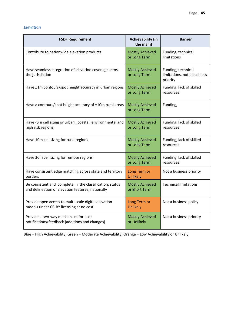#### *Elevation*

| <b>FSDF Requirement</b>                                                                                       | <b>Achievability (in</b><br>the main)   | <b>Barrier</b>                                                |
|---------------------------------------------------------------------------------------------------------------|-----------------------------------------|---------------------------------------------------------------|
| Contribute to nationwide elevation products                                                                   | <b>Mostly Achieved</b><br>or Long Term  | Funding, technical<br>limitations                             |
| Have seamless integration of elevation coverage across<br>the jurisdiction                                    | <b>Mostly Achieved</b><br>or Long Term  | Funding, technical<br>limitations, not a business<br>priority |
| Have ±1m contours/spot height accuracy in urban regions                                                       | <b>Mostly Achieved</b><br>or Long Term  | Funding, lack of skilled<br>resources                         |
| Have a contours/spot height accuracy of ±10m rural areas                                                      | <b>Mostly Achieved</b><br>or Long Term  | Funding,                                                      |
| Have <5m cell sizing or urban, coastal, environmental and<br>high risk regions                                | <b>Mostly Achieved</b><br>or Long Term  | Funding, lack of skilled<br>resources                         |
| Have 10m cell sizing for rural regions                                                                        | <b>Mostly Achieved</b><br>or Long Term  | Funding, lack of skilled<br>resources                         |
| Have 30m cell sizing for remote regions                                                                       | <b>Mostly Achieved</b><br>or Long Term  | Funding, lack of skilled<br>resources                         |
| Have consistent edge matching across state and territory<br>borders                                           | Long Term or<br>Unlikely                | Not a business priority                                       |
| Be consistent and complete in the classification, status<br>and delineation of Elevation features, nationally | <b>Mostly Achieved</b><br>or Short Term | <b>Technical limitations</b>                                  |
| Provide open access to multi-scale digital elevation<br>models under CC-BY licensing at no cost               | Long Term or<br><b>Unlikely</b>         | Not a business policy                                         |
| Provide a two-way mechanism for user<br>notifications/feedback (additions and changes)                        | <b>Mostly Achieved</b><br>or Unlikely   | Not a business priority                                       |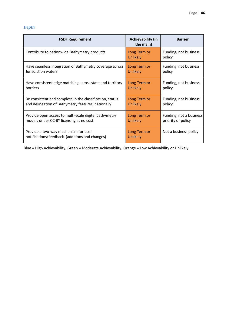### *Depth*

| <b>FSDF Requirement</b>                                                                | <b>Achievability (in</b><br>the main) | <b>Barrier</b>                  |
|----------------------------------------------------------------------------------------|---------------------------------------|---------------------------------|
| Contribute to nationwide Bathymetry products                                           | Long Term or<br><b>Unlikely</b>       | Funding, not business<br>policy |
| Have seamless integration of Bathymetry coverage across                                | Long Term or                          | Funding, not business           |
| Jurisdiction waters                                                                    | <b>Unlikely</b>                       | policy                          |
| Have consistent edge matching across state and territory                               | Long Term or                          | Funding, not business           |
| borders                                                                                | <b>Unlikely</b>                       | policy                          |
| Be consistent and complete in the classification, status                               | Long Term or                          | Funding, not business           |
| and delineation of Bathymetry features, nationally                                     | <b>Unlikely</b>                       | policy                          |
| Provide open access to multi-scale digital bathymetry                                  | Long Term or                          | Funding, not a business         |
| models under CC-BY licensing at no cost                                                | <b>Unlikely</b>                       | priority or policy              |
| Provide a two-way mechanism for user<br>notifications/feedback (additions and changes) | Long Term or<br><b>Unlikely</b>       | Not a business policy           |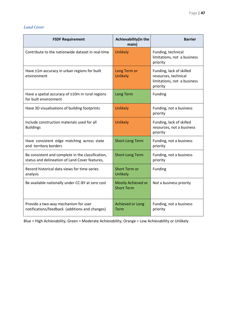#### *Land Cover*

| <b>FSDF Requirement</b>                                                                             | Achievability(in the<br>main)           | <b>Barrier</b>                                                                              |  |  |  |  |
|-----------------------------------------------------------------------------------------------------|-----------------------------------------|---------------------------------------------------------------------------------------------|--|--|--|--|
| Contribute to the nationwide dataset in real-time                                                   | <b>Unlikely</b>                         | Funding, technical<br>limitations, not a business<br>priority                               |  |  |  |  |
| Have ±1m accuracy in urban regions for built<br>environment                                         | Long Term or<br><b>Unlikely</b>         | Funding, lack of skilled<br>resources, technical<br>limitations, not a business<br>priority |  |  |  |  |
| Have a spatial accuracy of ±10m in rural regions<br>for built environment                           | <b>Long Term</b>                        | Funding                                                                                     |  |  |  |  |
| Have 3D visualisations of building footprints                                                       | <b>Unlikely</b>                         | Funding, not a business<br>priority                                                         |  |  |  |  |
| Include construction materials used for all<br><b>Buildings</b>                                     | <b>Unlikely</b>                         | Funding, lack of skilled<br>resources, not a business<br>priority                           |  |  |  |  |
| Have consistent edge matching across state<br>and territory borders                                 | <b>Short-Long Term</b>                  | Funding, not a business<br>priority                                                         |  |  |  |  |
| Be consistent and complete in the classification,<br>status and delineation of Land Cover features, | <b>Short-Long Term</b>                  | Funding, not a business<br>priority                                                         |  |  |  |  |
| Record historical data views for time-series<br>analysis                                            | <b>Short Term or</b><br>Unlikely        | Funding                                                                                     |  |  |  |  |
| Be available nationally under CC-BY at zero cost                                                    | Mostly Achieved or<br><b>Short Term</b> | Not a business priority                                                                     |  |  |  |  |
| Provide a two-way mechanism for user<br>notifications/feedback (additions and changes)              | Achieved or Long<br>Term                | Funding, not a business<br>priority                                                         |  |  |  |  |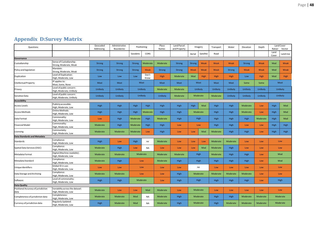| <b>Appendix D:Survey Matrix</b> |  |  |
|---------------------------------|--|--|
|---------------------------------|--|--|

<span id="page-47-0"></span>

| Questions                                   |                                                        | Geocoded<br>Addressing | Administrative<br>Boundaries | Positioning   |                 | Place<br>Names   | Land Parcel<br>and Property | Imagery       |             | Transport | Water               | Elevation     | Depth       | Land Cover<br>Ratser<br>Vector |             |  |
|---------------------------------------------|--------------------------------------------------------|------------------------|------------------------------|---------------|-----------------|------------------|-----------------------------|---------------|-------------|-----------|---------------------|---------------|-------------|--------------------------------|-------------|--|
|                                             |                                                        |                        |                              | Geodetic      | CORS            |                  |                             | Aerial        | Satellite   | Road      |                     |               |             | Land<br>Cover                  | Land Use    |  |
| Governance                                  |                                                        |                        |                              |               |                 |                  |                             |               |             |           |                     |               |             |                                |             |  |
| Custodianship                               | Sense of Custodianship:<br>Strong, Moderate, Weak      | Strong                 | <b>Strong</b>                | <b>Strong</b> | Moderate        | Moderate         | <b>Strong</b>               | <b>Strong</b> | Weak        | Weak      | Weak                | <b>Strong</b> | Weak        | Mod                            | Weak        |  |
| Policy and legislation                      | Mandate:<br>Strong, Moderate, Weak                     | <b>Strong</b>          | <b>Strong</b>                | <b>Strong</b> | Weak            | Strong           | <b>Strong</b>               | Weak          | Weak        | Weak      | <b>Strong</b>       | Weak          | Weak        | Mod                            | Weak        |  |
| Duplication                                 | Level of Duplication:<br>High, Moderate, Low           | Low                    | Low                          | Low           | Don't<br>Know   | High             | Moderate                    | Mod           | <b>High</b> | High      | High                | Low           | <b>High</b> | Mod                            | <b>High</b> |  |
| Intellectual Property                       | IP applies to:<br>Most, Some, None                     | Most                   | Most                         | Most          |                 | Most             | Most                        | Most          |             | Most      | Most                | Some          | Some        | Most                           |             |  |
| Privacy                                     | Level of public concern:<br>High, Moderate, Unlikely   | Unlikely               | Unlikely                     |               | <b>Unlikely</b> | Moderate         | Moderate                    | Unlikely      |             | Unlikely  | Unlikely            | Unlikely      | Unlikely    | <b>Unlikely</b>                |             |  |
| Sensitive Data                              | Level of public concern:<br>High, Moderate, Unlikely   | Unlikely               | Unlikely                     |               | <b>Unlikely</b> | Unlikely         | Moderate                    | Moderate      |             | Moderate  | Unlikely            | Unlikely      | Unlikely    | Unlikely                       |             |  |
| <b>Accesibility</b>                         |                                                        |                        |                              |               |                 |                  |                             |               |             |           |                     |               |             |                                |             |  |
| <b>Access Levels</b>                        | Publicly accessible:<br>High, Moderate, Low            | High                   | High                         | High          | <b>High</b>     | High             | High                        | High          | Mod         | High      | High                | Moderate      | Low         | High                           | Mod         |  |
| <b>Access Methods</b>                       | Online Methods:<br>High, Moderate, Low                 | High                   | High                         | High          | Moderate        | High             | Moderate<br>High            |               |             | High      | High                | Moderate      | Low         | High                           | Mod         |  |
| Data Format                                 | Commonality:<br>High, Moderate, Low                    | Low                    | High                         | Moderate      | <b>High</b>     | Moderate         | High                        | High          |             | High      | High                | <b>High</b>   | Moderate    | High                           | Mod         |  |
| <b>Financial Model</b>                      | Commonality:<br>High, Moderate, Low                    | Moderate               | High                         | Moderate      | <b>High</b>     | High             | Low                         |               | Low         | High      | High                | Low           | Low         | High                           | <b>High</b> |  |
| Licensing                                   | Commonlaity:<br>High, Moderate, Low                    | Moderate               | Moderate                     | Moderate      | Low             | High             | Low                         | Low           | Mod         | Moderate  | High                | <b>High</b>   | Low         | High                           | High        |  |
| <b>Data Standards and Metadata</b>          |                                                        |                        |                              |               |                 |                  |                             |               |             |           |                     |               |             |                                |             |  |
| Standards                                   | Compliance:<br>High, Moderate, Low                     | High                   | Low                          | High          | na              | Moderate         | Low                         | Low           | Low         | Moderate  | Moderate            | Low           | Low         |                                | Low         |  |
| Spatial Data Services (OGC)                 | Compliance:<br>High, Moderate, Low                     | Moderate               | High                         | Low           | <b>NA</b>       | Low              | Low                         | Low           | Mod         | Moderate  | High                | Low           | Low         |                                | Low         |  |
| Metadata Format                             | Digital (Machine readable):<br>High, Moderate, Low     | Moderate               | Moderate                     |               | Moderate        | Moderate         | Moderate                    | High          |             | Moderate  | High                | <b>High</b>   | Low         | Mod                            |             |  |
| Metadata Standard                           | Compliance:<br>High, Moderate, Low                     | Moderate               | High                         |               | Low             | Moderate         | High                        | High          |             | High      | High<br><b>High</b> |               | Low         | Mod                            |             |  |
| Unique Identifiers                          | Global ID in use:<br>High, Moderate, Low               | Low                    | Low                          | Low           |                 | Low              | Low                         | na            |             | Low       | Low                 | Low<br>Low    |             | Low                            |             |  |
| Data Storage and Archiving                  | Compliance:<br>High, Moderate, Low                     | Moderate               | Moderate                     |               | Low             |                  | High                        | Moderate      |             | Moderate  | Moderate            | Moderate      | Low         | Low                            |             |  |
| Software                                    | Level of commonality:<br>High, Moderate, Low           | High                   | High                         |               | Moderate        |                  | High                        |               | High        | High      | High                | <b>High</b>   | High<br>Low |                                |             |  |
| Data Quality                                |                                                        |                        |                              |               |                 |                  |                             |               |             |           |                     |               |             |                                |             |  |
| Positional Accuracy of jurisdiction<br>data | Variability across the dataset:<br>High, Moderate, Low | Moderate               | Low                          | Low           | Mod             | Moderate         | Low                         |               | Moderate    | Low       | Low                 | Low           | Low         |                                | Low         |  |
| Completeness of jurisdiction data           | Completeness:<br>High, Moderate, Low                   | Moderate               | Moderate                     | Mod           | <b>NA</b>       | Moderate         | High                        | Moderate      |             | High      | High                | Moderate      | Moderate    |                                | Moderate    |  |
| Currency of jurisdiction data               | Regularly Updated:<br>High, Moderate, Low              | High                   | Moderate                     | Mod           | <b>NA</b>       | Moderate<br>High |                             | Moderate      |             | High      | Moderate            | Moderate      | Moderate    |                                | Moderate    |  |